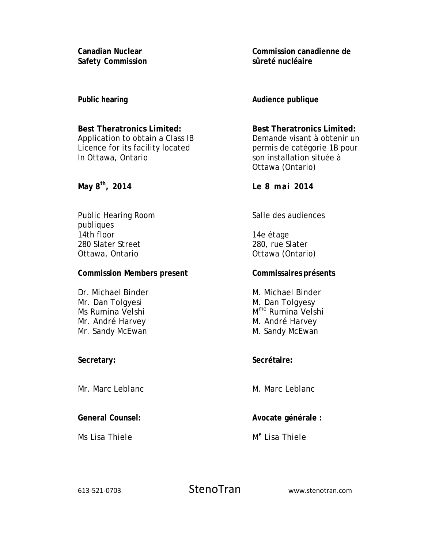**Canadian Nuclear Safety Commission** 

**Public hearing** 

**Best Theratronics Limited:**  Application to obtain a Class IB Licence for its facility located In Ottawa, Ontario

**May 8th, 2014** 

Public Hearing Room publiques 14th floor 280 Slater Street Ottawa, Ontario

## **Commission Members present**

Dr. Michael Binder Mr. Dan Tolgyesi Ms Rumina Velshi Mr. André Harvey Mr. Sandy McEwan

**Secretary:** 

Mr. Marc Leblanc

**General Counsel:** 

Ms Lisa Thiele

**Commission canadienne de sûreté nucléaire** 

**Audience publique** 

**Best Theratronics Limited:**  Demande visant à obtenir un permis de catégorie 1B pour son installation située à Ottawa (Ontario)

**Le 8 mai 2014** 

Salle des audiences

14e étage 280, rue Slater Ottawa (Ontario)

## **Commissaires présents**

M. Michael Binder M. Dan Tolgyesy M<sup>me</sup> Rumina Velshi M. André Harvey M. Sandy McEwan

**Secrétaire:** 

M. Marc Leblanc

**Avocate générale :** 

M<sup>e</sup> Lisa Thiele

613-521-0703 StenoTran www.stenotran.com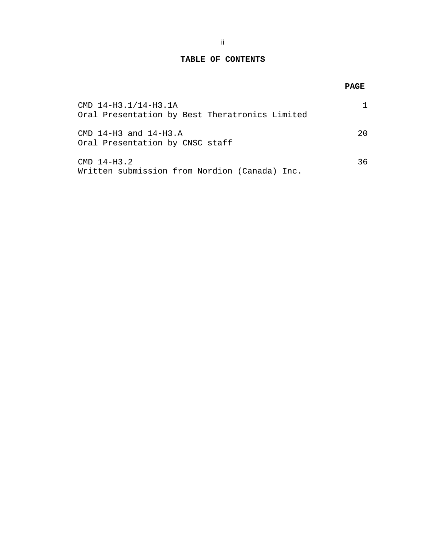### **TABLE OF CONTENTS**

# **PAGE**

| CMD 14-H3.1/14-H3.1A<br>Oral Presentation by Best Theratronics Limited |     |
|------------------------------------------------------------------------|-----|
| $CMD 14-H3 and 14-H3.A$<br>Oral Presentation by CNSC staff             | 20  |
| $CMD$ 14-H3.2<br>Written submission from Nordion (Canada) Inc.         | 36. |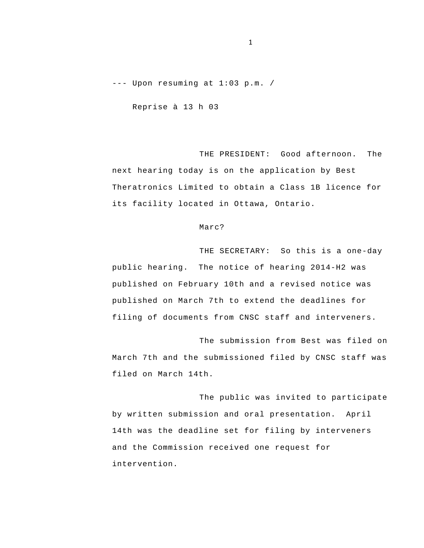--- Upon resuming at 1:03 p.m. /

Reprise à 13 h 03

THE PRESIDENT: Good afternoon. The next hearing today is on the application by Best Theratronics Limited to obtain a Class 1B licence for its facility located in Ottawa, Ontario.

#### Marc?

THE SECRETARY: So this is a one-day public hearing. The notice of hearing 2014-H2 was published on February 10th and a revised notice was published on March 7th to extend the deadlines for filing of documents from CNSC staff and interveners.

The submission from Best was filed on March 7th and the submissioned filed by CNSC staff was filed on March 14th.

The public was invited to participate by written submission and oral presentation. April 14th was the deadline set for filing by interveners and the Commission received one request for intervention.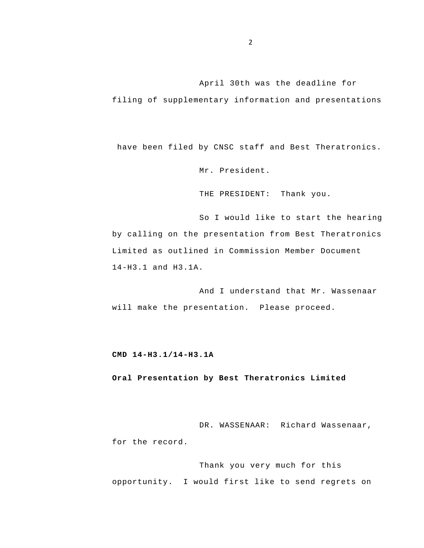April 30th was the deadline for

filing of supplementary information and presentations

have been filed by CNSC staff and Best Theratronics.

Mr. President.

THE PRESIDENT: Thank you.

So I would like to start the hearing by calling on the presentation from Best Theratronics Limited as outlined in Commission Member Document 14-H3.1 and H3.1A.

And I understand that Mr. Wassenaar will make the presentation. Please proceed.

**CMD 14-H3.1/14-H3.1A** 

**Oral Presentation by Best Theratronics Limited** 

DR. WASSENAAR: Richard Wassenaar, for the record.

Thank you very much for this opportunity. I would first like to send regrets on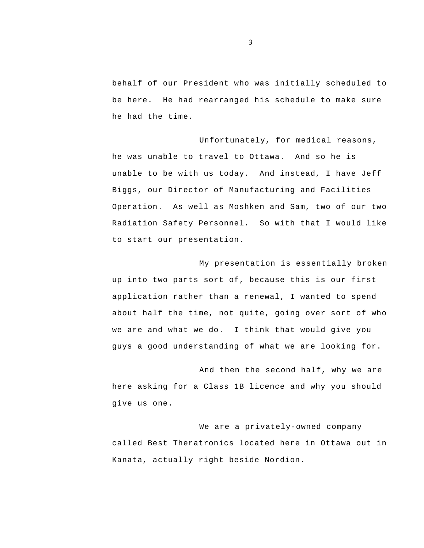behalf of our President who was initially scheduled to be here. He had rearranged his schedule to make sure he had the time.

Unfortunately, for medical reasons, he was unable to travel to Ottawa. And so he is unable to be with us today. And instead, I have Jeff Biggs, our Director of Manufacturing and Facilities Operation. As well as Moshken and Sam, two of our two Radiation Safety Personnel. So with that I would like to start our presentation.

My presentation is essentially broken up into two parts sort of, because this is our first application rather than a renewal, I wanted to spend about half the time, not quite, going over sort of who we are and what we do. I think that would give you guys a good understanding of what we are looking for.

And then the second half, why we are here asking for a Class 1B licence and why you should give us one.

We are a privately-owned company called Best Theratronics located here in Ottawa out in Kanata, actually right beside Nordion.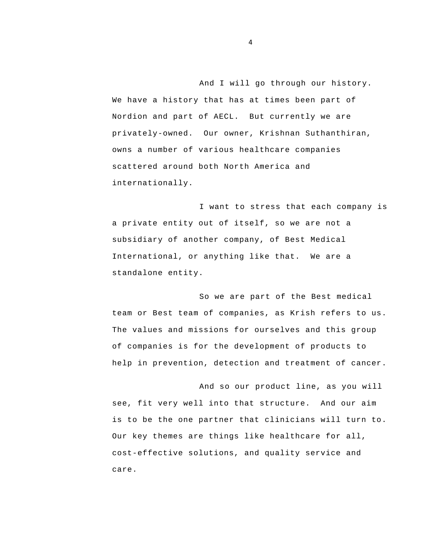And I will go through our history. We have a history that has at times been part of Nordion and part of AECL. But currently we are privately-owned. Our owner, Krishnan Suthanthiran, owns a number of various healthcare companies scattered around both North America and internationally.

I want to stress that each company is a private entity out of itself, so we are not a subsidiary of another company, of Best Medical International, or anything like that. We are a standalone entity.

So we are part of the Best medical team or Best team of companies, as Krish refers to us. The values and missions for ourselves and this group of companies is for the development of products to help in prevention, detection and treatment of cancer.

And so our product line, as you will see, fit very well into that structure. And our aim is to be the one partner that clinicians will turn to. Our key themes are things like healthcare for all, cost-effective solutions, and quality service and care.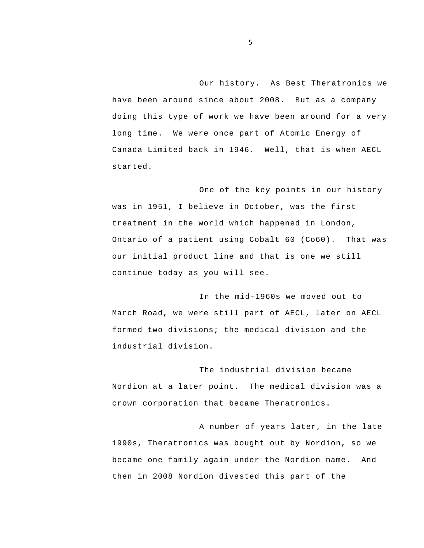Our history. As Best Theratronics we have been around since about 2008. But as a company doing this type of work we have been around for a very long time. We were once part of Atomic Energy of Canada Limited back in 1946. Well, that is when AECL started.

One of the key points in our history was in 1951, I believe in October, was the first treatment in the world which happened in London, Ontario of a patient using Cobalt 60 (Co60). That was our initial product line and that is one we still continue today as you will see.

In the mid-1960s we moved out to March Road, we were still part of AECL, later on AECL formed two divisions; the medical division and the industrial division.

The industrial division became Nordion at a later point. The medical division was a crown corporation that became Theratronics.

A number of years later, in the late 1990s, Theratronics was bought out by Nordion, so we became one family again under the Nordion name. And then in 2008 Nordion divested this part of the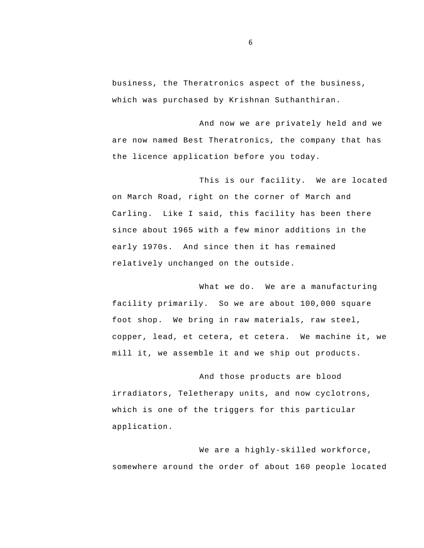business, the Theratronics aspect of the business, which was purchased by Krishnan Suthanthiran.

And now we are privately held and we are now named Best Theratronics, the company that has the licence application before you today.

This is our facility. We are located on March Road, right on the corner of March and Carling. Like I said, this facility has been there since about 1965 with a few minor additions in the early 1970s. And since then it has remained relatively unchanged on the outside.

What we do. We are a manufacturing facility primarily. So we are about 100,000 square foot shop. We bring in raw materials, raw steel, copper, lead, et cetera, et cetera. We machine it, we mill it, we assemble it and we ship out products.

And those products are blood irradiators, Teletherapy units, and now cyclotrons, which is one of the triggers for this particular application.

We are a highly-skilled workforce, somewhere around the order of about 160 people located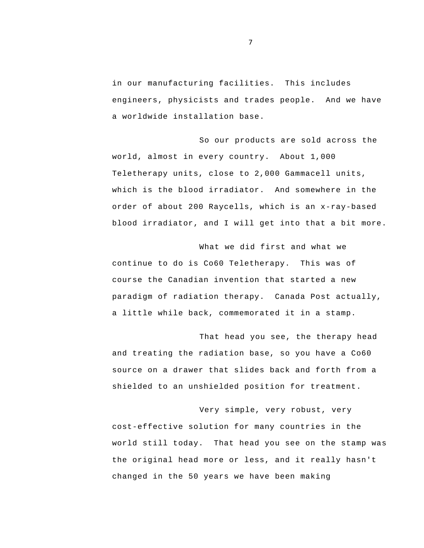in our manufacturing facilities. This includes engineers, physicists and trades people. And we have a worldwide installation base.

So our products are sold across the world, almost in every country. About 1,000 Teletherapy units, close to 2,000 Gammacell units, which is the blood irradiator. And somewhere in the order of about 200 Raycells, which is an x-ray-based blood irradiator, and I will get into that a bit more.

What we did first and what we continue to do is Co60 Teletherapy. This was of course the Canadian invention that started a new paradigm of radiation therapy. Canada Post actually, a little while back, commemorated it in a stamp.

That head you see, the therapy head and treating the radiation base, so you have a Co60 source on a drawer that slides back and forth from a shielded to an unshielded position for treatment.

Very simple, very robust, very cost-effective solution for many countries in the world still today. That head you see on the stamp was the original head more or less, and it really hasn't changed in the 50 years we have been making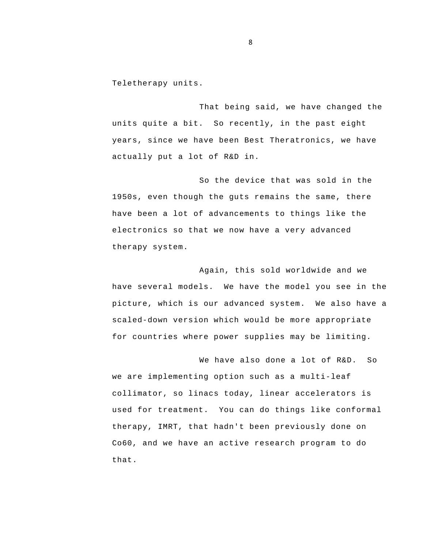Teletherapy units.

That being said, we have changed the units quite a bit. So recently, in the past eight years, since we have been Best Theratronics, we have actually put a lot of R&D in.

So the device that was sold in the 1950s, even though the guts remains the same, there have been a lot of advancements to things like the electronics so that we now have a very advanced therapy system.

Again, this sold worldwide and we have several models. We have the model you see in the picture, which is our advanced system. We also have a scaled-down version which would be more appropriate for countries where power supplies may be limiting.

 Co60, and we have an active research program to do We have also done a lot of R&D. So we are implementing option such as a multi-leaf collimator, so linacs today, linear accelerators is used for treatment. You can do things like conformal therapy, IMRT, that hadn't been previously done on that.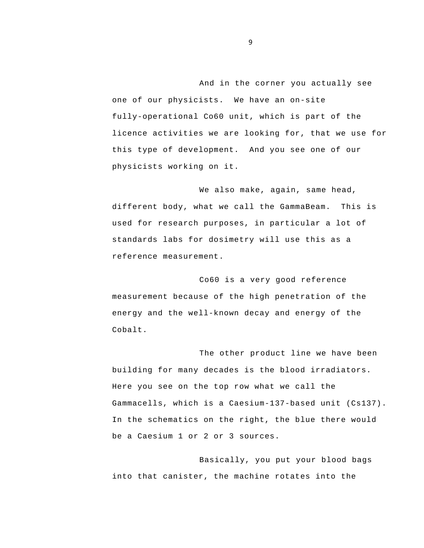And in the corner you actually see one of our physicists. We have an on-site fully-operational Co60 unit, which is part of the licence activities we are looking for, that we use for this type of development. And you see one of our physicists working on it.

We also make, again, same head, different body, what we call the GammaBeam. This is used for research purposes, in particular a lot of standards labs for dosimetry will use this as a reference measurement.

Co60 is a very good reference measurement because of the high penetration of the energy and the well-known decay and energy of the Cobalt.

The other product line we have been building for many decades is the blood irradiators. Here you see on the top row what we call the Gammacells, which is a Caesium-137-based unit (Cs137). In the schematics on the right, the blue there would be a Caesium 1 or 2 or 3 sources.

Basically, you put your blood bags into that canister, the machine rotates into the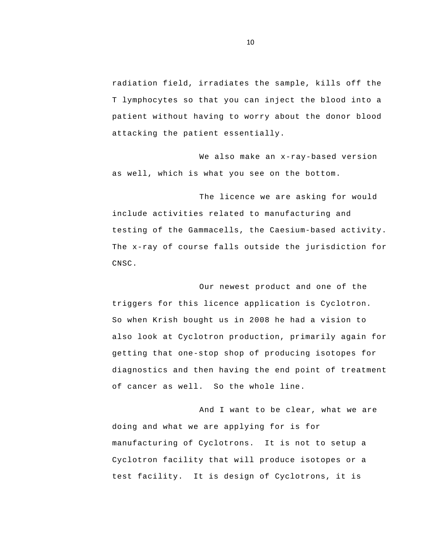radiation field, irradiates the sample, kills off the T lymphocytes so that you can inject the blood into a patient without having to worry about the donor blood attacking the patient essentially.

We also make an x-ray-based version as well, which is what you see on the bottom.

The licence we are asking for would include activities related to manufacturing and testing of the Gammacells, the Caesium-based activity. The x-ray of course falls outside the jurisdiction for CNSC.

Our newest product and one of the triggers for this licence application is Cyclotron. So when Krish bought us in 2008 he had a vision to also look at Cyclotron production, primarily again for getting that one-stop shop of producing isotopes for diagnostics and then having the end point of treatment of cancer as well. So the whole line.

And I want to be clear, what we are doing and what we are applying for is for manufacturing of Cyclotrons. It is not to setup a Cyclotron facility that will produce isotopes or a test facility. It is design of Cyclotrons, it is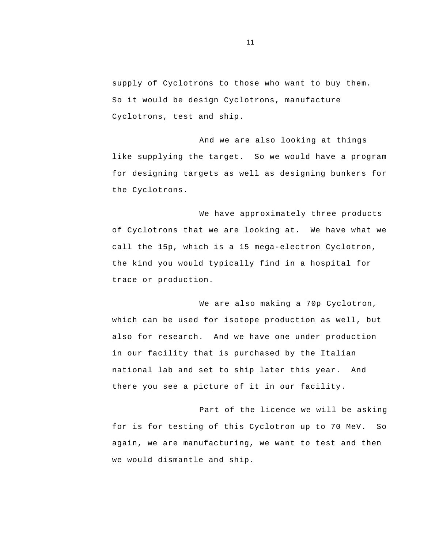supply of Cyclotrons to those who want to buy them. So it would be design Cyclotrons, manufacture Cyclotrons, test and ship.

And we are also looking at things like supplying the target. So we would have a program for designing targets as well as designing bunkers for the Cyclotrons.

We have approximately three products of Cyclotrons that we are looking at. We have what we call the 15p, which is a 15 mega-electron Cyclotron, the kind you would typically find in a hospital for trace or production.

We are also making a 70p Cyclotron, which can be used for isotope production as well, but also for research. And we have one under production in our facility that is purchased by the Italian national lab and set to ship later this year. And there you see a picture of it in our facility.

Part of the licence we will be asking for is for testing of this Cyclotron up to 70 MeV. So again, we are manufacturing, we want to test and then we would dismantle and ship.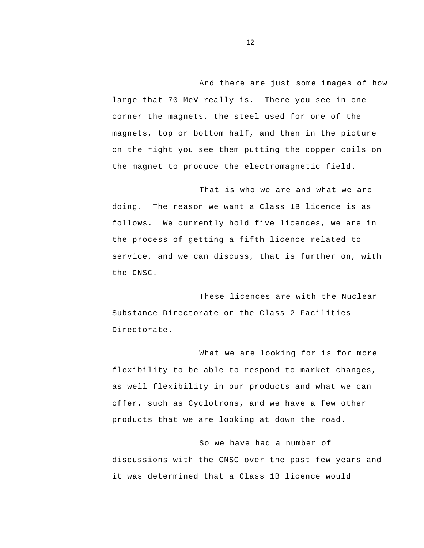magnets, top or bottom half, and then in the picture And there are just some images of how large that 70 MeV really is. There you see in one corner the magnets, the steel used for one of the on the right you see them putting the copper coils on the magnet to produce the electromagnetic field.

That is who we are and what we are doing. The reason we want a Class 1B licence is as follows. We currently hold five licences, we are in the process of getting a fifth licence related to service, and we can discuss, that is further on, with the CNSC.

These licences are with the Nuclear Substance Directorate or the Class 2 Facilities Directorate.

 products that we are looking at down the road. What we are looking for is for more flexibility to be able to respond to market changes, as well flexibility in our products and what we can offer, such as Cyclotrons, and we have a few other

So we have had a number of discussions with the CNSC over the past few years and it was determined that a Class 1B licence would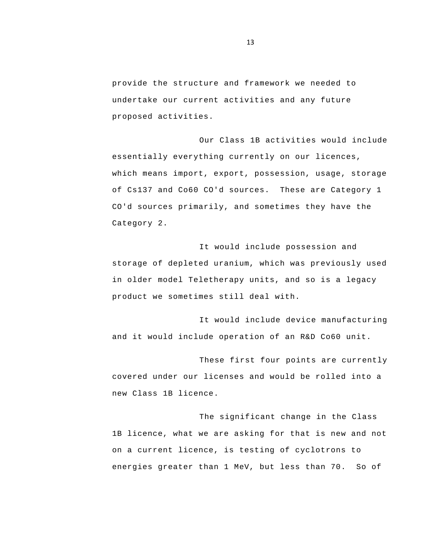provide the structure and framework we needed to undertake our current activities and any future proposed activities.

Our Class 1B activities would include essentially everything currently on our licences, which means import, export, possession, usage, storage of Cs137 and Co60 CO'd sources. These are Category 1 CO'd sources primarily, and sometimes they have the Category 2.

It would include possession and storage of depleted uranium, which was previously used in older model Teletherapy units, and so is a legacy product we sometimes still deal with.

It would include device manufacturing and it would include operation of an R&D Co60 unit.

These first four points are currently covered under our licenses and would be rolled into a new Class 1B licence.

The significant change in the Class 1B licence, what we are asking for that is new and not on a current licence, is testing of cyclotrons to energies greater than 1 MeV, but less than 70. So of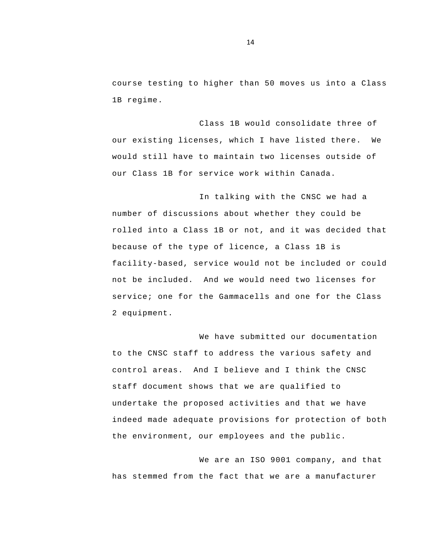course testing to higher than 50 moves us into a Class 1B regime.

Class 1B would consolidate three of our existing licenses, which I have listed there. We would still have to maintain two licenses outside of our Class 1B for service work within Canada.

In talking with the CNSC we had a number of discussions about whether they could be rolled into a Class 1B or not, and it was decided that because of the type of licence, a Class 1B is facility-based, service would not be included or could not be included. And we would need two licenses for service; one for the Gammacells and one for the Class 2 equipment.

We have submitted our documentation to the CNSC staff to address the various safety and control areas. And I believe and I think the CNSC staff document shows that we are qualified to undertake the proposed activities and that we have indeed made adequate provisions for protection of both the environment, our employees and the public.

We are an ISO 9001 company, and that has stemmed from the fact that we are a manufacturer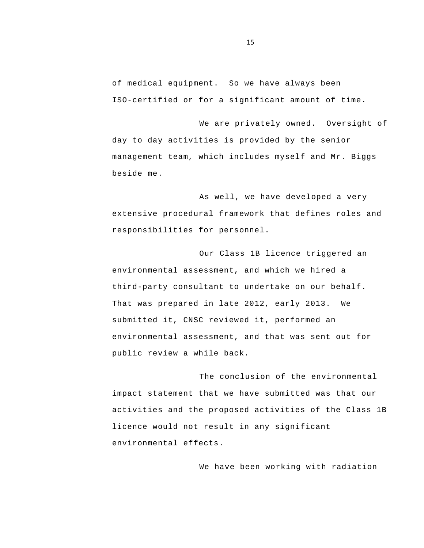of medical equipment. So we have always been ISO-certified or for a significant amount of time.

We are privately owned. Oversight of day to day activities is provided by the senior management team, which includes myself and Mr. Biggs beside me.

As well, we have developed a very extensive procedural framework that defines roles and responsibilities for personnel.

Our Class 1B licence triggered an environmental assessment, and which we hired a third-party consultant to undertake on our behalf. That was prepared in late 2012, early 2013. We submitted it, CNSC reviewed it, performed an environmental assessment, and that was sent out for public review a while back.

The conclusion of the environmental impact statement that we have submitted was that our activities and the proposed activities of the Class 1B licence would not result in any significant environmental effects.

We have been working with radiation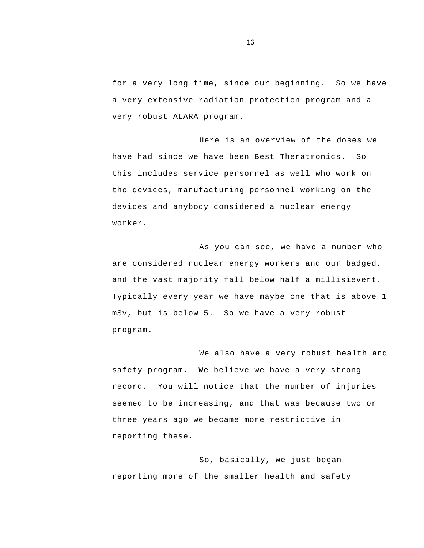for a very long time, since our beginning. So we have a very extensive radiation protection program and a very robust ALARA program.

Here is an overview of the doses we have had since we have been Best Theratronics. So this includes service personnel as well who work on the devices, manufacturing personnel working on the devices and anybody considered a nuclear energy worker.

As you can see, we have a number who are considered nuclear energy workers and our badged, and the vast majority fall below half a millisievert. Typically every year we have maybe one that is above 1 mSv, but is below 5. So we have a very robust program.

We also have a very robust health and safety program. We believe we have a very strong record. You will notice that the number of injuries seemed to be increasing, and that was because two or three years ago we became more restrictive in reporting these.

So, basically, we just began reporting more of the smaller health and safety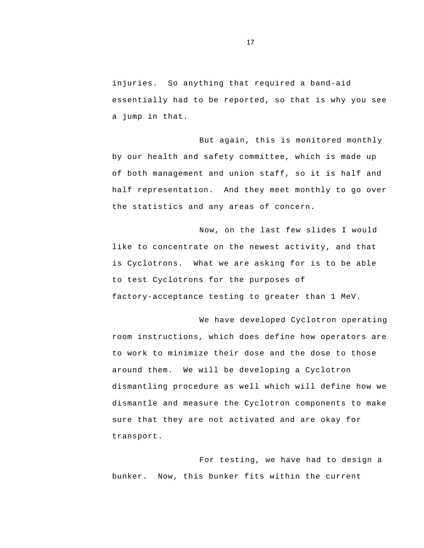injuries. So anything that required a band-aid essentially had to be reported, so that is why you see a jump in that.

But again, this is monitored monthly by our health and safety committee, which is made up of both management and union staff, so it is half and half representation. And they meet monthly to go over the statistics and any areas of concern.

Now, on the last few slides I would like to concentrate on the newest activity, and that is Cyclotrons. What we are asking for is to be able to test Cyclotrons for the purposes of factory-acceptance testing to greater than 1 MeV.

We have developed Cyclotron operating room instructions, which does define how operators are to work to minimize their dose and the dose to those around them. We will be developing a Cyclotron dismantling procedure as well which will define how we dismantle and measure the Cyclotron components to make sure that they are not activated and are okay for transport.

For testing, we have had to design a bunker. Now, this bunker fits within the current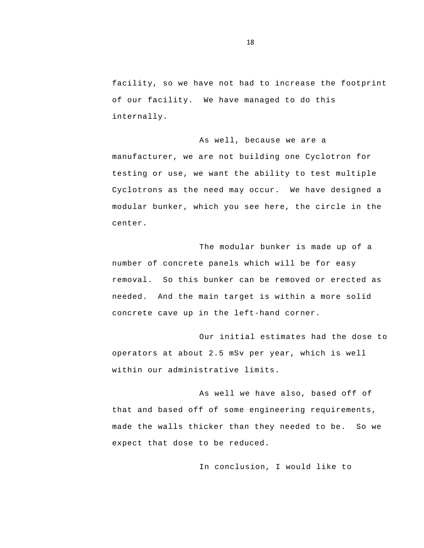facility, so we have not had to increase the footprint of our facility. We have managed to do this internally.

#### As well, because we are a

manufacturer, we are not building one Cyclotron for testing or use, we want the ability to test multiple Cyclotrons as the need may occur. We have designed a modular bunker, which you see here, the circle in the center.

The modular bunker is made up of a number of concrete panels which will be for easy removal. So this bunker can be removed or erected as needed. And the main target is within a more solid concrete cave up in the left-hand corner.

Our initial estimates had the dose to operators at about 2.5 mSv per year, which is well within our administrative limits.

As well we have also, based off of that and based off of some engineering requirements, made the walls thicker than they needed to be. So we expect that dose to be reduced.

In conclusion, I would like to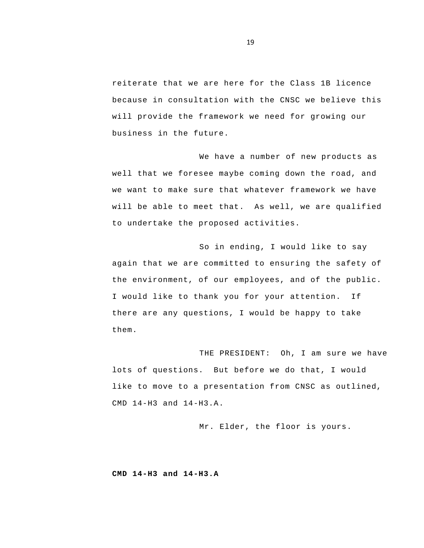reiterate that we are here for the Class 1B licence because in consultation with the CNSC we believe this will provide the framework we need for growing our business in the future.

We have a number of new products as well that we foresee maybe coming down the road, and we want to make sure that whatever framework we have will be able to meet that. As well, we are qualified to undertake the proposed activities.

So in ending, I would like to say again that we are committed to ensuring the safety of the environment, of our employees, and of the public. I would like to thank you for your attention. If there are any questions, I would be happy to take them.

THE PRESIDENT: Oh, I am sure we have lots of questions. But before we do that, I would like to move to a presentation from CNSC as outlined, CMD 14-H3 and 14-H3.A.

Mr. Elder, the floor is yours.

**CMD 14-H3 and 14-H3.A**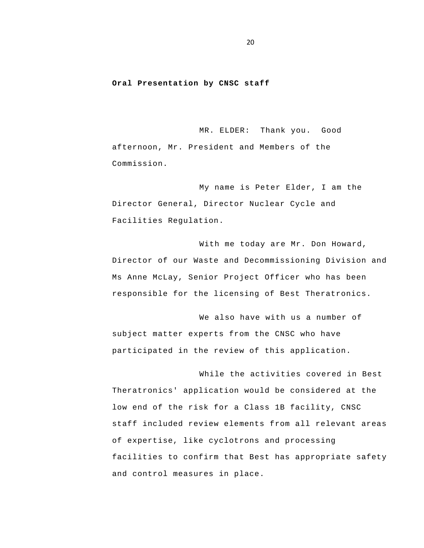#### <span id="page-21-0"></span>**Oral Presentation by CNSC staff**

MR. ELDER: Thank you. Good afternoon, Mr. President and Members of the Commission.

My name is Peter Elder, I am the Director General, Director Nuclear Cycle and Facilities Regulation.

With me today are Mr. Don Howard, Director of our Waste and Decommissioning Division and Ms Anne McLay, Senior Project Officer who has been responsible for the licensing of Best Theratronics.

We also have with us a number of subject matter experts from the CNSC who have participated in the review of this application.

 While the activities covered in Best Theratronics' application would be considered at the low end of the risk for a Class 1B facility, CNSC staff included review elements from all relevant areas of expertise, like cyclotrons and processing facilities to confirm that Best has appropriate safety and control measures in place.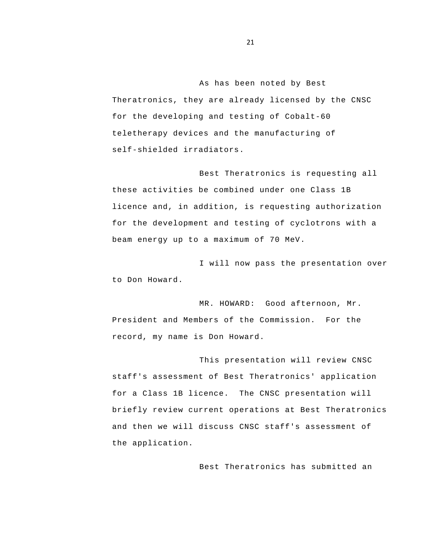As has been noted by Best Theratronics, they are already licensed by the CNSC for the developing and testing of Cobalt-60 teletherapy devices and the manufacturing of self-shielded irradiators.

Best Theratronics is requesting all these activities be combined under one Class 1B licence and, in addition, is requesting authorization for the development and testing of cyclotrons with a beam energy up to a maximum of 70 MeV.

I will now pass the presentation over to Don Howard.

MR. HOWARD: Good afternoon, Mr. President and Members of the Commission. For the record, my name is Don Howard.

This presentation will review CNSC staff's assessment of Best Theratronics' application for a Class 1B licence. The CNSC presentation will briefly review current operations at Best Theratronics and then we will discuss CNSC staff's assessment of the application.

Best Theratronics has submitted an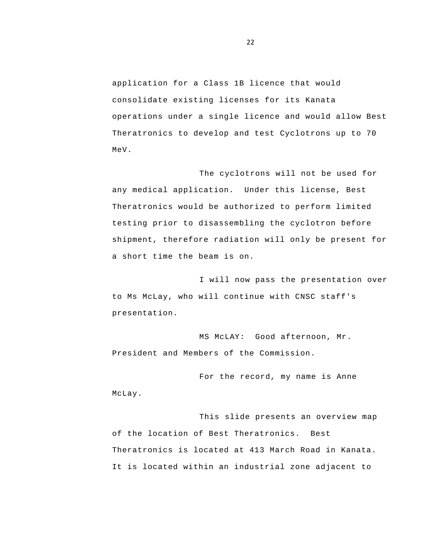application for a Class 1B licence that would consolidate existing licenses for its Kanata operations under a single licence and would allow Best Theratronics to develop and test Cyclotrons up to 70 MeV.

The cyclotrons will not be used for any medical application. Under this license, Best Theratronics would be authorized to perform limited testing prior to disassembling the cyclotron before shipment, therefore radiation will only be present for a short time the beam is on.

I will now pass the presentation over to Ms McLay, who will continue with CNSC staff's presentation.

MS McLAY: Good afternoon, Mr. President and Members of the Commission.

For the record, my name is Anne McLay.

This slide presents an overview map of the location of Best Theratronics. Best Theratronics is located at 413 March Road in Kanata. It is located within an industrial zone adjacent to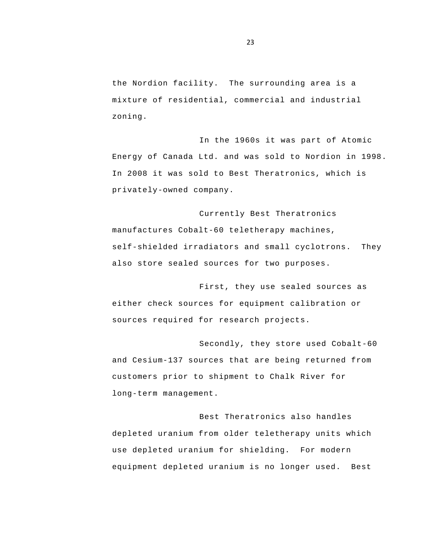the Nordion facility. The surrounding area is a mixture of residential, commercial and industrial zoning.

In the 1960s it was part of Atomic Energy of Canada Ltd. and was sold to Nordion in 1998. In 2008 it was sold to Best Theratronics, which is privately-owned company.

Currently Best Theratronics manufactures Cobalt-60 teletherapy machines, self-shielded irradiators and small cyclotrons. They also store sealed sources for two purposes.

First, they use sealed sources as either check sources for equipment calibration or sources required for research projects.

Secondly, they store used Cobalt-60 and Cesium-137 sources that are being returned from customers prior to shipment to Chalk River for long-term management.

Best Theratronics also handles depleted uranium from older teletherapy units which use depleted uranium for shielding. For modern equipment depleted uranium is no longer used. Best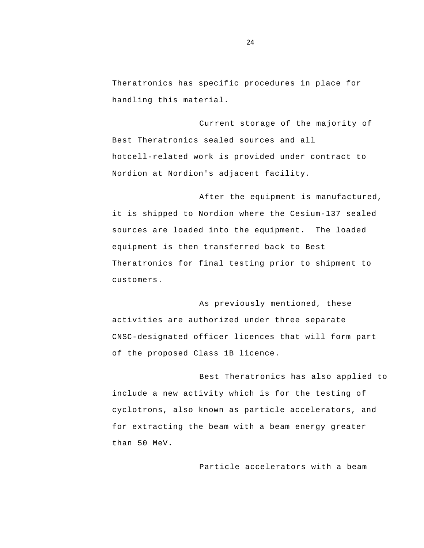Theratronics has specific procedures in place for handling this material.

Current storage of the majority of Best Theratronics sealed sources and all hotcell-related work is provided under contract to Nordion at Nordion's adjacent facility.

After the equipment is manufactured, it is shipped to Nordion where the Cesium-137 sealed sources are loaded into the equipment. The loaded equipment is then transferred back to Best Theratronics for final testing prior to shipment to customers.

As previously mentioned, these activities are authorized under three separate CNSC-designated officer licences that will form part of the proposed Class 1B licence.

Best Theratronics has also applied to include a new activity which is for the testing of cyclotrons, also known as particle accelerators, and for extracting the beam with a beam energy greater than 50 MeV.

Particle accelerators with a beam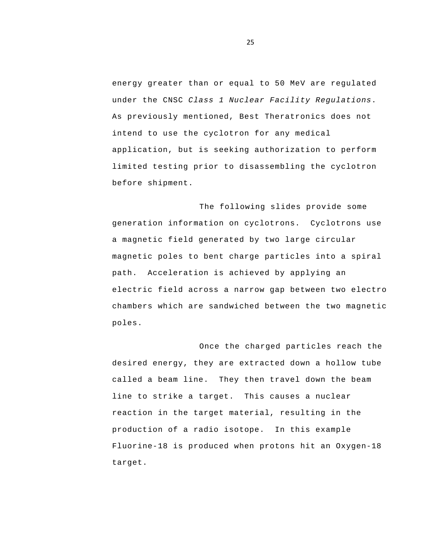energy greater than or equal to 50 MeV are regulated under the CNSC *Class 1 Nuclear Facility Regulations*. As previously mentioned, Best Theratronics does not intend to use the cyclotron for any medical application, but is seeking authorization to perform limited testing prior to disassembling the cyclotron before shipment.

The following slides provide some generation information on cyclotrons. Cyclotrons use a magnetic field generated by two large circular magnetic poles to bent charge particles into a spiral path. Acceleration is achieved by applying an electric field across a narrow gap between two electro chambers which are sandwiched between the two magnetic poles.

Once the charged particles reach the desired energy, they are extracted down a hollow tube called a beam line. They then travel down the beam line to strike a target. This causes a nuclear reaction in the target material, resulting in the production of a radio isotope. In this example Fluorine-18 is produced when protons hit an Oxygen-18 target.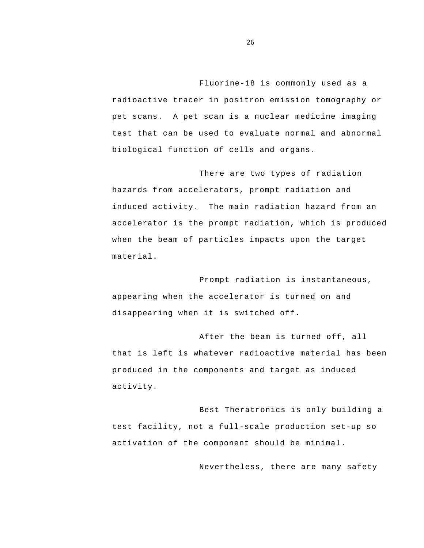Fluorine-18 is commonly used as a radioactive tracer in positron emission tomography or pet scans. A pet scan is a nuclear medicine imaging test that can be used to evaluate normal and abnormal biological function of cells and organs.

There are two types of radiation hazards from accelerators, prompt radiation and induced activity. The main radiation hazard from an accelerator is the prompt radiation, which is produced when the beam of particles impacts upon the target material.

Prompt radiation is instantaneous, appearing when the accelerator is turned on and disappearing when it is switched off.

After the beam is turned off, all that is left is whatever radioactive material has been produced in the components and target as induced activity.

Best Theratronics is only building a test facility, not a full-scale production set-up so activation of the component should be minimal.

Nevertheless, there are many safety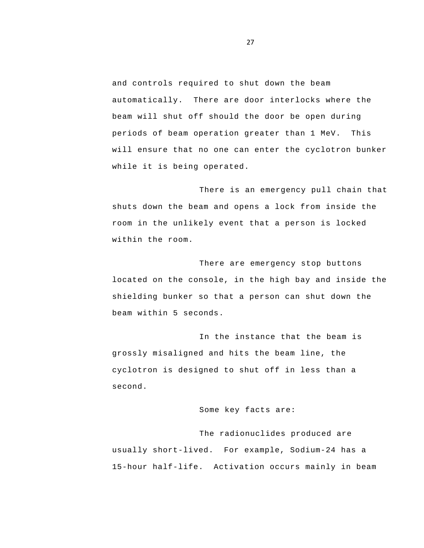and controls required to shut down the beam automatically. There are door interlocks where the beam will shut off should the door be open during periods of beam operation greater than 1 MeV. This will ensure that no one can enter the cyclotron bunker while it is being operated.

There is an emergency pull chain that shuts down the beam and opens a lock from inside the room in the unlikely event that a person is locked within the room.

There are emergency stop buttons located on the console, in the high bay and inside the shielding bunker so that a person can shut down the beam within 5 seconds.

In the instance that the beam is grossly misaligned and hits the beam line, the cyclotron is designed to shut off in less than a second.

#### Some key facts are:

The radionuclides produced are usually short-lived. For example, Sodium-24 has a 15-hour half-life. Activation occurs mainly in beam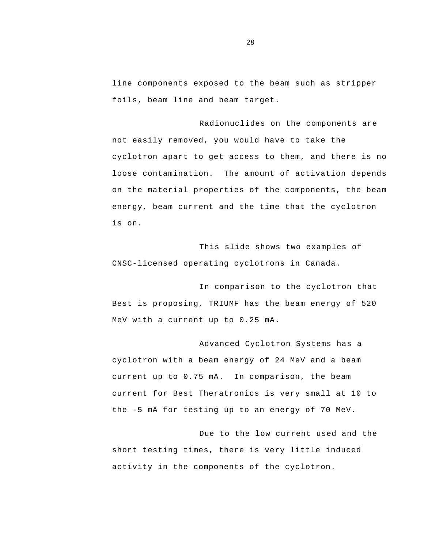line components exposed to the beam such as stripper foils, beam line and beam target.

Radionuclides on the components are not easily removed, you would have to take the cyclotron apart to get access to them, and there is no loose contamination. The amount of activation depends on the material properties of the components, the beam energy, beam current and the time that the cyclotron is on.

This slide shows two examples of CNSC-licensed operating cyclotrons in Canada.

 MeV with a current up to 0.25 mA. In comparison to the cyclotron that Best is proposing, TRIUMF has the beam energy of 520

Advanced Cyclotron Systems has a cyclotron with a beam energy of 24 MeV and a beam current up to 0.75 mA. In comparison, the beam current for Best Theratronics is very small at 10 to the -5 mA for testing up to an energy of 70 MeV.

Due to the low current used and the short testing times, there is very little induced activity in the components of the cyclotron.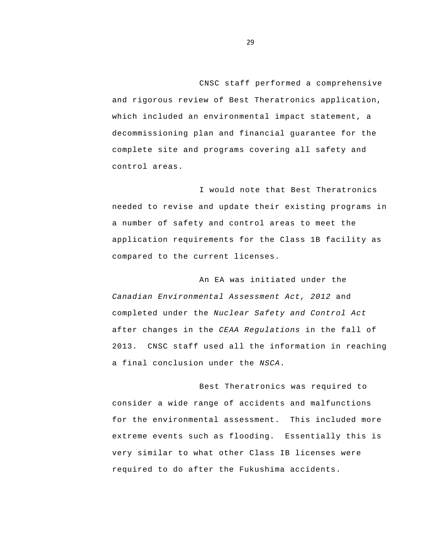CNSC staff performed a comprehensive and rigorous review of Best Theratronics application, which included an environmental impact statement, a decommissioning plan and financial guarantee for the complete site and programs covering all safety and control areas.

I would note that Best Theratronics needed to revise and update their existing programs in a number of safety and control areas to meet the application requirements for the Class 1B facility as compared to the current licenses.

An EA was initiated under the *Canadian Environmental Assessment Act, 2012* and completed under the *Nuclear Safety and Control Act*  after changes in the *CEAA Regulations* in the fall of 2013. CNSC staff used all the information in reaching a final conclusion under the *NSCA*.

Best Theratronics was required to consider a wide range of accidents and malfunctions for the environmental assessment. This included more extreme events such as flooding. Essentially this is very similar to what other Class IB licenses were required to do after the Fukushima accidents.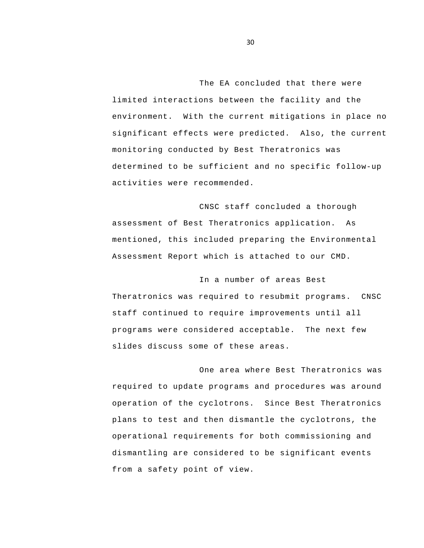The EA concluded that there were limited interactions between the facility and the environment. With the current mitigations in place no significant effects were predicted. Also, the current monitoring conducted by Best Theratronics was determined to be sufficient and no specific follow-up activities were recommended.

CNSC staff concluded a thorough assessment of Best Theratronics application. As mentioned, this included preparing the Environmental Assessment Report which is attached to our CMD.

In a number of areas Best Theratronics was required to resubmit programs. CNSC staff continued to require improvements until all programs were considered acceptable. The next few slides discuss some of these areas.

One area where Best Theratronics was required to update programs and procedures was around operation of the cyclotrons. Since Best Theratronics plans to test and then dismantle the cyclotrons, the operational requirements for both commissioning and dismantling are considered to be significant events from a safety point of view.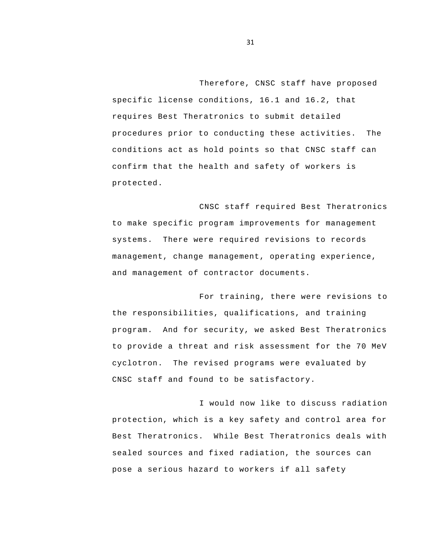Therefore, CNSC staff have proposed specific license conditions, 16.1 and 16.2, that requires Best Theratronics to submit detailed procedures prior to conducting these activities. The conditions act as hold points so that CNSC staff can confirm that the health and safety of workers is protected.

CNSC staff required Best Theratronics to make specific program improvements for management systems. There were required revisions to records management, change management, operating experience, and management of contractor documents.

For training, there were revisions to the responsibilities, qualifications, and training program. And for security, we asked Best Theratronics to provide a threat and risk assessment for the 70 MeV cyclotron. The revised programs were evaluated by CNSC staff and found to be satisfactory.

I would now like to discuss radiation protection, which is a key safety and control area for Best Theratronics. While Best Theratronics deals with sealed sources and fixed radiation, the sources can pose a serious hazard to workers if all safety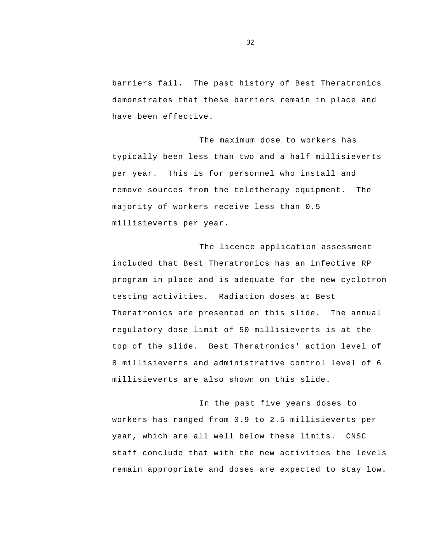barriers fail. The past history of Best Theratronics demonstrates that these barriers remain in place and have been effective.

The maximum dose to workers has typically been less than two and a half millisieverts per year. This is for personnel who install and remove sources from the teletherapy equipment. The majority of workers receive less than 0.5 millisieverts per year.

The licence application assessment included that Best Theratronics has an infective RP program in place and is adequate for the new cyclotron testing activities. Radiation doses at Best Theratronics are presented on this slide. The annual regulatory dose limit of 50 millisieverts is at the top of the slide. Best Theratronics' action level of 8 millisieverts and administrative control level of 6 millisieverts are also shown on this slide.

In the past five years doses to workers has ranged from 0.9 to 2.5 millisieverts per year, which are all well below these limits. CNSC staff conclude that with the new activities the levels remain appropriate and doses are expected to stay low.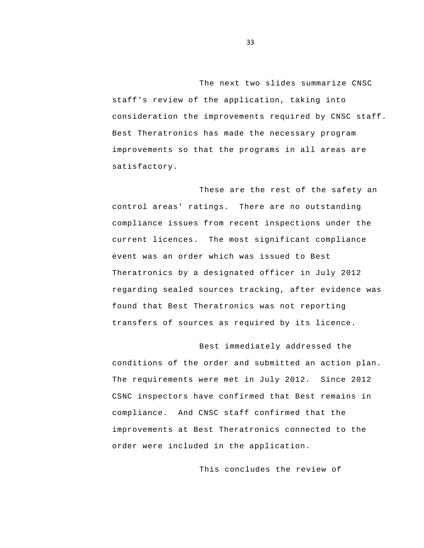The next two slides summarize CNSC staff's review of the application, taking into consideration the improvements required by CNSC staff. Best Theratronics has made the necessary program improvements so that the programs in all areas are satisfactory.

 regarding sealed sources tracking, after evidence was These are the rest of the safety an control areas' ratings. There are no outstanding compliance issues from recent inspections under the current licences. The most significant compliance event was an order which was issued to Best Theratronics by a designated officer in July 2012 found that Best Theratronics was not reporting transfers of sources as required by its licence.

Best immediately addressed the conditions of the order and submitted an action plan. The requirements were met in July 2012. Since 2012 CSNC inspectors have confirmed that Best remains in compliance. And CNSC staff confirmed that the improvements at Best Theratronics connected to the order were included in the application.

This concludes the review of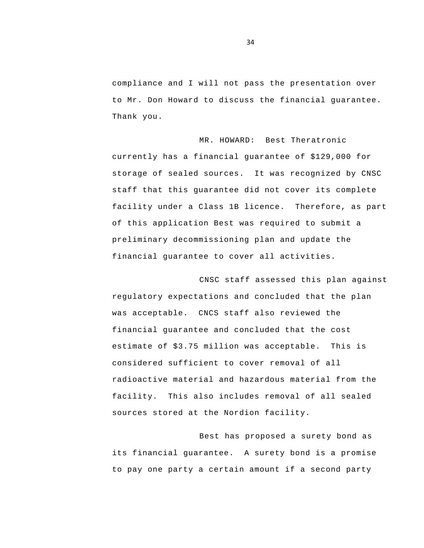compliance and I will not pass the presentation over to Mr. Don Howard to discuss the financial guarantee. Thank you.

MR. HOWARD: Best Theratronic currently has a financial guarantee of \$129,000 for storage of sealed sources. It was recognized by CNSC staff that this guarantee did not cover its complete facility under a Class 1B licence. Therefore, as part of this application Best was required to submit a preliminary decommissioning plan and update the financial guarantee to cover all activities.

CNSC staff assessed this plan against regulatory expectations and concluded that the plan was acceptable. CNCS staff also reviewed the financial guarantee and concluded that the cost estimate of \$3.75 million was acceptable. This is considered sufficient to cover removal of all radioactive material and hazardous material from the facility. This also includes removal of all sealed sources stored at the Nordion facility.

Best has proposed a surety bond as its financial guarantee. A surety bond is a promise to pay one party a certain amount if a second party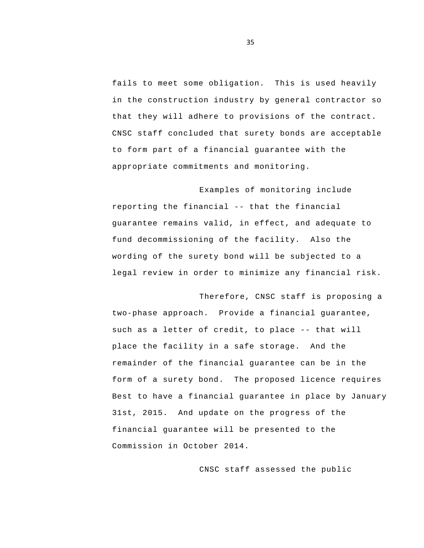fails to meet some obligation. This is used heavily in the construction industry by general contractor so that they will adhere to provisions of the contract. CNSC staff concluded that surety bonds are acceptable to form part of a financial guarantee with the appropriate commitments and monitoring.

 reporting the financial -- that the financial Examples of monitoring include guarantee remains valid, in effect, and adequate to fund decommissioning of the facility. Also the wording of the surety bond will be subjected to a legal review in order to minimize any financial risk.

 such as a letter of credit, to place -- that will Therefore, CNSC staff is proposing a two-phase approach. Provide a financial guarantee, place the facility in a safe storage. And the remainder of the financial guarantee can be in the form of a surety bond. The proposed licence requires Best to have a financial guarantee in place by January 31st, 2015. And update on the progress of the financial guarantee will be presented to the Commission in October 2014.

CNSC staff assessed the public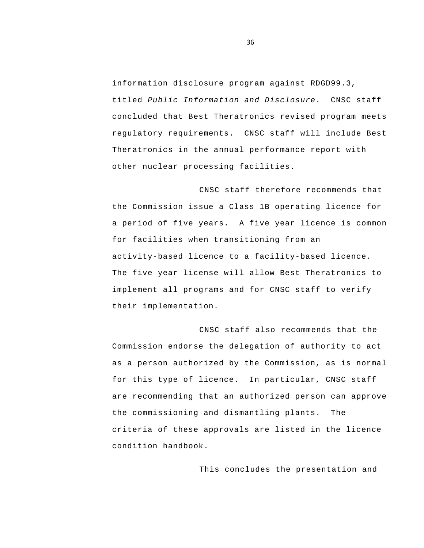information disclosure program against RDGD99.3, titled *Public Information and Disclosure*. CNSC staff concluded that Best Theratronics revised program meets regulatory requirements. CNSC staff will include Best Theratronics in the annual performance report with other nuclear processing facilities.

CNSC staff therefore recommends that the Commission issue a Class 1B operating licence for a period of five years. A five year licence is common for facilities when transitioning from an activity-based licence to a facility-based licence. The five year license will allow Best Theratronics to implement all programs and for CNSC staff to verify their implementation.

CNSC staff also recommends that the Commission endorse the delegation of authority to act as a person authorized by the Commission, as is normal for this type of licence. In particular, CNSC staff are recommending that an authorized person can approve the commissioning and dismantling plants. The criteria of these approvals are listed in the licence condition handbook.

This concludes the presentation and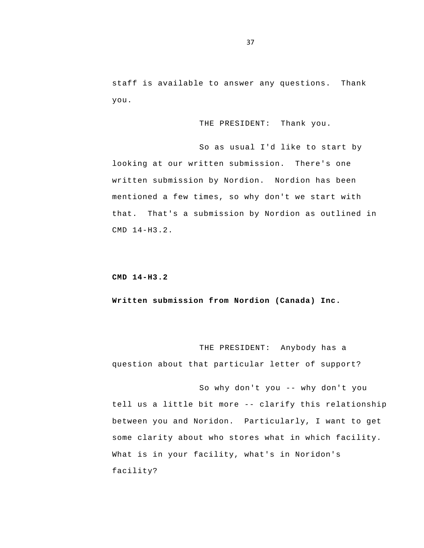staff is available to answer any questions. Thank you.

THE PRESIDENT: Thank you.

So as usual I'd like to start by looking at our written submission. There's one written submission by Nordion. Nordion has been mentioned a few times, so why don't we start with that. That's a submission by Nordion as outlined in CMD 14-H3.2.

## **CMD 14-H3.2**

**Written submission from Nordion (Canada) Inc.** 

THE PRESIDENT: Anybody has a question about that particular letter of support?

 So why don't you -- why don't you tell us a little bit more -- clarify this relationship between you and Noridon. Particularly, I want to get some clarity about who stores what in which facility. What is in your facility, what's in Noridon's facility?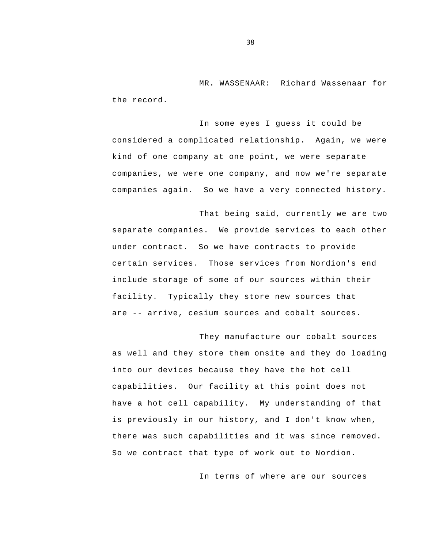MR. WASSENAAR: Richard Wassenaar for the record.

In some eyes I guess it could be considered a complicated relationship. Again, we were kind of one company at one point, we were separate companies, we were one company, and now we're separate companies again. So we have a very connected history.

 are -- arrive, cesium sources and cobalt sources. That being said, currently we are two separate companies. We provide services to each other under contract. So we have contracts to provide certain services. Those services from Nordion's end include storage of some of our sources within their facility. Typically they store new sources that

They manufacture our cobalt sources as well and they store them onsite and they do loading into our devices because they have the hot cell capabilities. Our facility at this point does not have a hot cell capability. My understanding of that is previously in our history, and I don't know when, there was such capabilities and it was since removed. So we contract that type of work out to Nordion.

In terms of where are our sources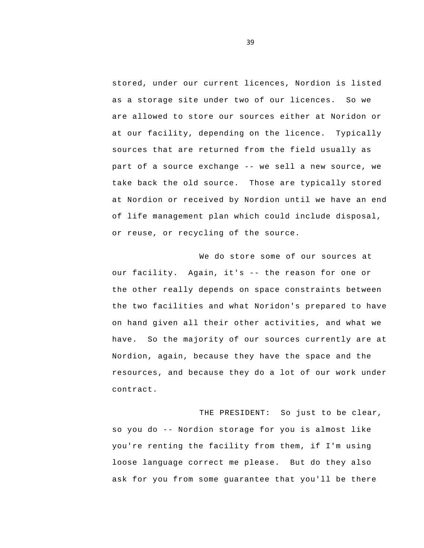part of a source exchange -- we sell a new source, we stored, under our current licences, Nordion is listed as a storage site under two of our licences. So we are allowed to store our sources either at Noridon or at our facility, depending on the licence. Typically sources that are returned from the field usually as take back the old source. Those are typically stored at Nordion or received by Nordion until we have an end of life management plan which could include disposal, or reuse, or recycling of the source.

 our facility. Again, it's -- the reason for one or We do store some of our sources at the other really depends on space constraints between the two facilities and what Noridon's prepared to have on hand given all their other activities, and what we have. So the majority of our sources currently are at Nordion, again, because they have the space and the resources, and because they do a lot of our work under contract.

 so you do -- Nordion storage for you is almost like THE PRESIDENT: So just to be clear, you're renting the facility from them, if I'm using loose language correct me please. But do they also ask for you from some guarantee that you'll be there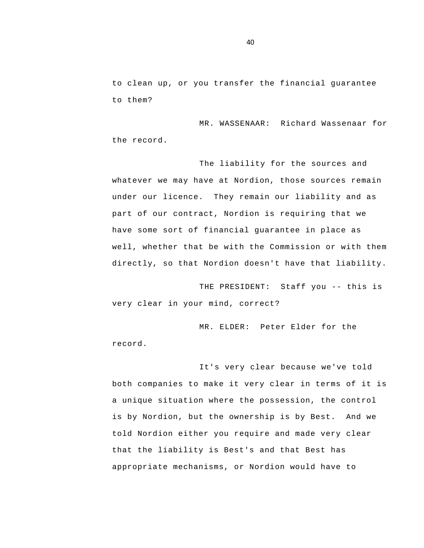to clean up, or you transfer the financial guarantee to them?

MR. WASSENAAR: Richard Wassenaar for the record.

The liability for the sources and whatever we may have at Nordion, those sources remain under our licence. They remain our liability and as part of our contract, Nordion is requiring that we have some sort of financial guarantee in place as well, whether that be with the Commission or with them directly, so that Nordion doesn't have that liability.

 THE PRESIDENT: Staff you -- this is very clear in your mind, correct?

MR. ELDER: Peter Elder for the record.

It's very clear because we've told both companies to make it very clear in terms of it is a unique situation where the possession, the control is by Nordion, but the ownership is by Best. And we told Nordion either you require and made very clear that the liability is Best's and that Best has appropriate mechanisms, or Nordion would have to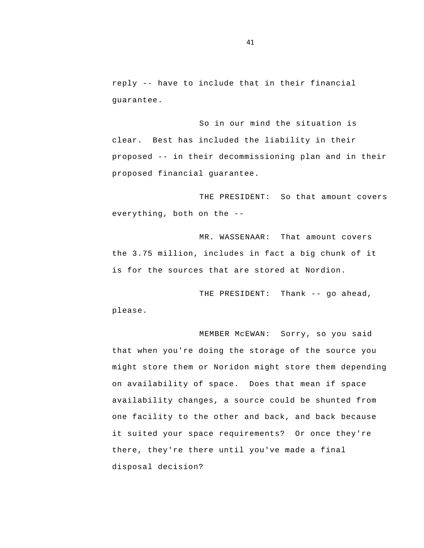reply -- have to include that in their financial guarantee.

 proposed -- in their decommissioning plan and in their So in our mind the situation is clear. Best has included the liability in their proposed financial guarantee.

 everything, both on the - THE PRESIDENT: So that amount covers

MR. WASSENAAR: That amount covers the 3.75 million, includes in fact a big chunk of it is for the sources that are stored at Nordion.

 THE PRESIDENT: Thank -- go ahead, please.

MEMBER McEWAN: Sorry, so you said that when you're doing the storage of the source you might store them or Noridon might store them depending on availability of space. Does that mean if space availability changes, a source could be shunted from one facility to the other and back, and back because it suited your space requirements? Or once they're there, they're there until you've made a final disposal decision?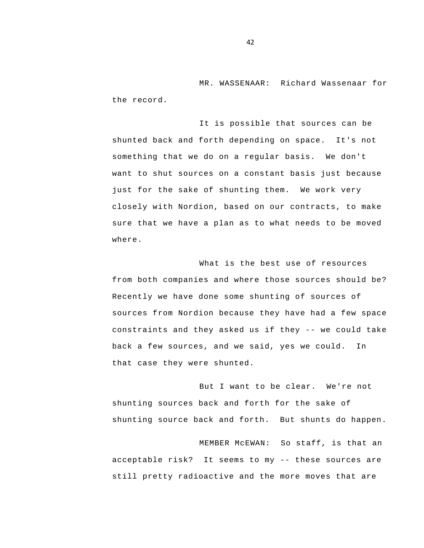MR. WASSENAAR: Richard Wassenaar for the record.

It is possible that sources can be shunted back and forth depending on space. It's not something that we do on a regular basis. We don't want to shut sources on a constant basis just because just for the sake of shunting them. We work very closely with Nordion, based on our contracts, to make sure that we have a plan as to what needs to be moved where.

 constraints and they asked us if they -- we could take What is the best use of resources from both companies and where those sources should be? Recently we have done some shunting of sources of sources from Nordion because they have had a few space back a few sources, and we said, yes we could. In that case they were shunted.

But I want to be clear. We're not shunting sources back and forth for the sake of shunting source back and forth. But shunts do happen.

 acceptable risk? It seems to my -- these sources are MEMBER McEWAN: So staff, is that an still pretty radioactive and the more moves that are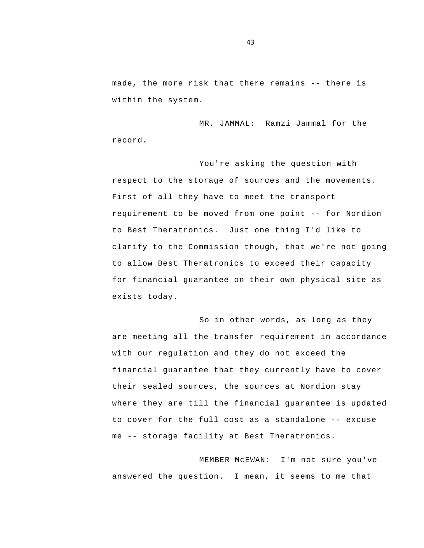made, the more risk that there remains -- there is within the system.

MR. JAMMAL: Ramzi Jammal for the record.

 requirement to be moved from one point -- for Nordion You're asking the question with respect to the storage of sources and the movements. First of all they have to meet the transport to Best Theratronics. Just one thing I'd like to clarify to the Commission though, that we're not going to allow Best Theratronics to exceed their capacity for financial guarantee on their own physical site as exists today.

 to cover for the full cost as a standalone -- excuse me -- storage facility at Best Theratronics. So in other words, as long as they are meeting all the transfer requirement in accordance with our regulation and they do not exceed the financial guarantee that they currently have to cover their sealed sources, the sources at Nordion stay where they are till the financial guarantee is updated

MEMBER McEWAN: I'm not sure you've answered the question. I mean, it seems to me that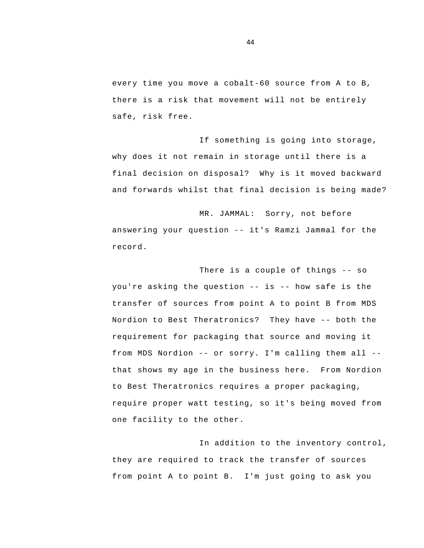every time you move a cobalt-60 source from A to B, there is a risk that movement will not be entirely safe, risk free.

If something is going into storage, why does it not remain in storage until there is a final decision on disposal? Why is it moved backward and forwards whilst that final decision is being made?

 answering your question -- it's Ramzi Jammal for the MR. JAMMAL: Sorry, not before record.

 There is a couple of things -- so you're asking the question -- is -- how safe is the Nordion to Best Theratronics? They have -- both the from MDS Nordion -- or sorry. I'm calling them all transfer of sources from point A to point B from MDS requirement for packaging that source and moving it that shows my age in the business here. From Nordion to Best Theratronics requires a proper packaging, require proper watt testing, so it's being moved from one facility to the other.

In addition to the inventory control, they are required to track the transfer of sources from point A to point B. I'm just going to ask you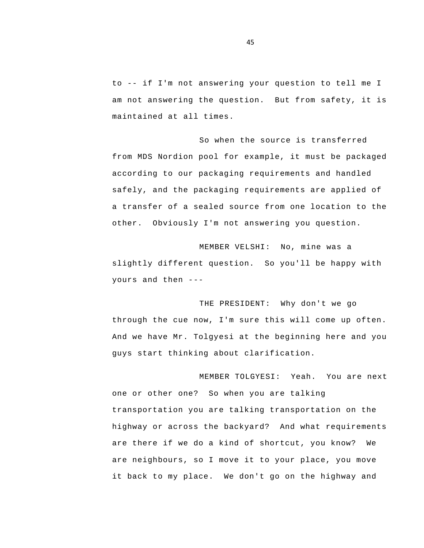to -- if I'm not answering your question to tell me I am not answering the question. But from safety, it is maintained at all times.

So when the source is transferred from MDS Nordion pool for example, it must be packaged according to our packaging requirements and handled safely, and the packaging requirements are applied of a transfer of a sealed source from one location to the other. Obviously I'm not answering you question.

 yours and then -- MEMBER VELSHI: No, mine was a slightly different question. So you'll be happy with

THE PRESIDENT: Why don't we go through the cue now, I'm sure this will come up often. And we have Mr. Tolgyesi at the beginning here and you guys start thinking about clarification.

MEMBER TOLGYESI: Yeah. You are next one or other one? So when you are talking transportation you are talking transportation on the highway or across the backyard? And what requirements are there if we do a kind of shortcut, you know? We are neighbours, so I move it to your place, you move it back to my place. We don't go on the highway and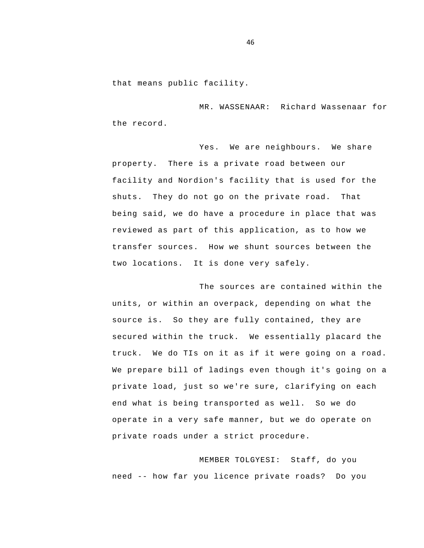that means public facility.

MR. WASSENAAR: Richard Wassenaar for the record.

Yes. We are neighbours. We share property. There is a private road between our facility and Nordion's facility that is used for the shuts. They do not go on the private road. That being said, we do have a procedure in place that was reviewed as part of this application, as to how we transfer sources. How we shunt sources between the two locations. It is done very safely.

The sources are contained within the units, or within an overpack, depending on what the source is. So they are fully contained, they are secured within the truck. We essentially placard the truck. We do TIs on it as if it were going on a road. We prepare bill of ladings even though it's going on a private load, just so we're sure, clarifying on each end what is being transported as well. So we do operate in a very safe manner, but we do operate on private roads under a strict procedure.

 need -- how far you licence private roads? Do you MEMBER TOLGYESI: Staff, do you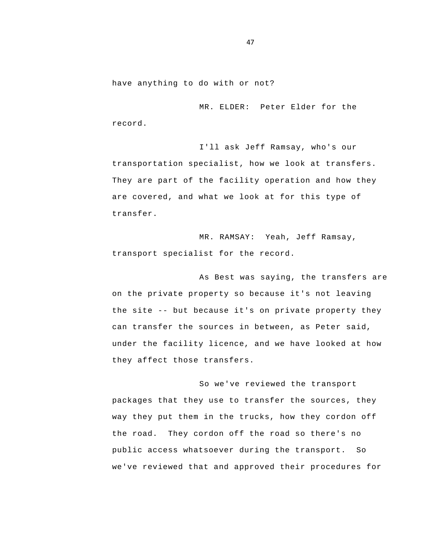have anything to do with or not?

MR. ELDER: Peter Elder for the record.

I'll ask Jeff Ramsay, who's our transportation specialist, how we look at transfers. They are part of the facility operation and how they are covered, and what we look at for this type of transfer.

MR. RAMSAY: Yeah, Jeff Ramsay, transport specialist for the record.

 the site -- but because it's on private property they As Best was saying, the transfers are on the private property so because it's not leaving can transfer the sources in between, as Peter said, under the facility licence, and we have looked at how they affect those transfers.

So we've reviewed the transport packages that they use to transfer the sources, they way they put them in the trucks, how they cordon off the road. They cordon off the road so there's no public access whatsoever during the transport. So we've reviewed that and approved their procedures for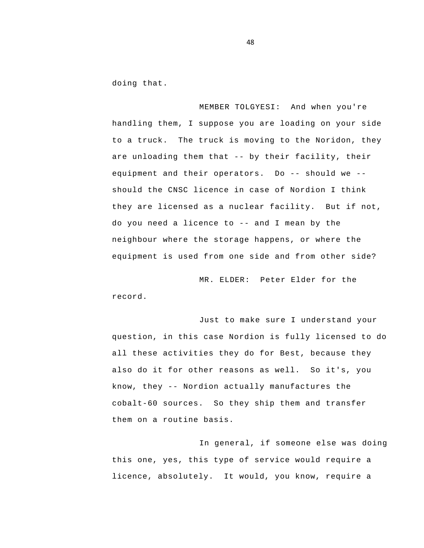doing that.

 are unloading them that -- by their facility, their equipment and their operators. Do -- should we - do you need a licence to -- and I mean by the MEMBER TOLGYESI: And when you're handling them, I suppose you are loading on your side to a truck. The truck is moving to the Noridon, they should the CNSC licence in case of Nordion I think they are licensed as a nuclear facility. But if not, neighbour where the storage happens, or where the equipment is used from one side and from other side?

MR. ELDER: Peter Elder for the record.

 also do it for other reasons as well. So it's, you know, they -- Nordion actually manufactures the Just to make sure I understand your question, in this case Nordion is fully licensed to do all these activities they do for Best, because they cobalt-60 sources. So they ship them and transfer them on a routine basis.

In general, if someone else was doing this one, yes, this type of service would require a licence, absolutely. It would, you know, require a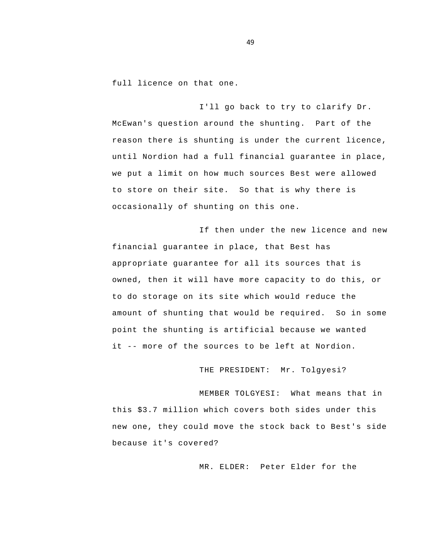full licence on that one.

I'll go back to try to clarify Dr. McEwan's question around the shunting. Part of the reason there is shunting is under the current licence, until Nordion had a full financial guarantee in place, we put a limit on how much sources Best were allowed to store on their site. So that is why there is occasionally of shunting on this one.

 it -- more of the sources to be left at Nordion. If then under the new licence and new financial guarantee in place, that Best has appropriate guarantee for all its sources that is owned, then it will have more capacity to do this, or to do storage on its site which would reduce the amount of shunting that would be required. So in some point the shunting is artificial because we wanted

THE PRESIDENT: Mr. Tolgyesi?

MEMBER TOLGYESI: What means that in this \$3.7 million which covers both sides under this new one, they could move the stock back to Best's side because it's covered?

MR. ELDER: Peter Elder for the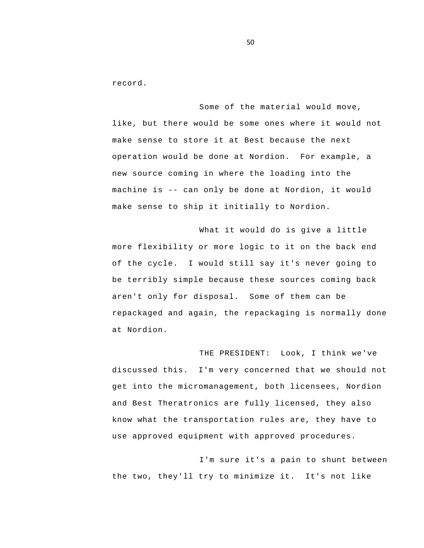record.

 machine is -- can only be done at Nordion, it would Some of the material would move, like, but there would be some ones where it would not make sense to store it at Best because the next operation would be done at Nordion. For example, a new source coming in where the loading into the make sense to ship it initially to Nordion.

What it would do is give a little more flexibility or more logic to it on the back end of the cycle. I would still say it's never going to be terribly simple because these sources coming back aren't only for disposal. Some of them can be repackaged and again, the repackaging is normally done at Nordion.

THE PRESIDENT: Look, I think we've discussed this. I'm very concerned that we should not get into the micromanagement, both licensees, Nordion and Best Theratronics are fully licensed, they also know what the transportation rules are, they have to use approved equipment with approved procedures.

I'm sure it's a pain to shunt between the two, they'll try to minimize it. It's not like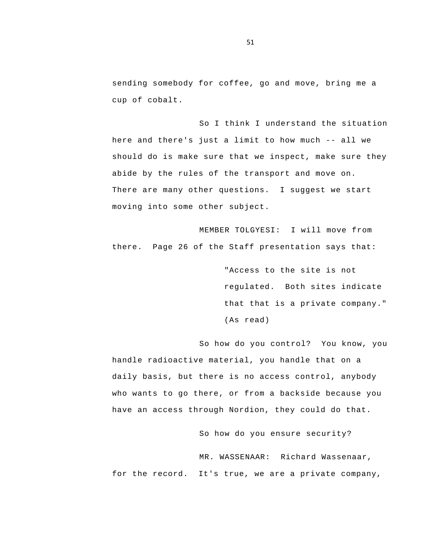sending somebody for coffee, go and move, bring me a cup of cobalt.

 here and there's just a limit to how much -- all we So I think I understand the situation should do is make sure that we inspect, make sure they abide by the rules of the transport and move on.<br>There are many other questions. I suggest we start moving into some other subject.

MEMBER TOLGYESI: I will move from there. Page 26 of the Staff presentation says that:

> "Access to the site is not regulated. Both sites indicate that that is a private company."<br>(As read)

So how do you control? You know, you handle radioactive material, you handle that on a daily basis, but there is no access control, anybody who wants to go there, or from a backside because you have an access through Nordion, they could do that.

So how do you ensure security?

MR. WASSENAAR: Richard Wassenaar, for the record. It's true, we are a private company,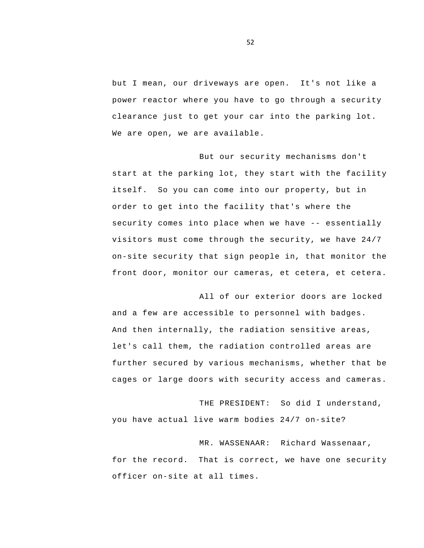but I mean, our driveways are open. It's not like a power reactor where you have to go through a security clearance just to get your car into the parking lot. We are open, we are available.

 security comes into place when we have -- essentially But our security mechanisms don't start at the parking lot, they start with the facility itself. So you can come into our property, but in order to get into the facility that's where the visitors must come through the security, we have 24/7 on-site security that sign people in, that monitor the front door, monitor our cameras, et cetera, et cetera.

All of our exterior doors are locked and a few are accessible to personnel with badges. And then internally, the radiation sensitive areas, let's call them, the radiation controlled areas are further secured by various mechanisms, whether that be cages or large doors with security access and cameras.

THE PRESIDENT: So did I understand, you have actual live warm bodies 24/7 on-site?

MR. WASSENAAR: Richard Wassenaar, for the record. That is correct, we have one security officer on-site at all times.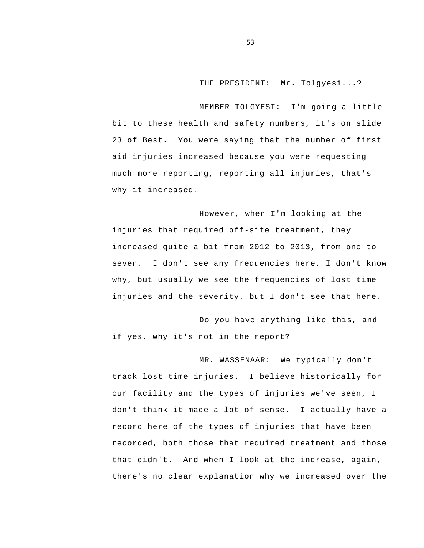THE PRESIDENT: Mr. Tolgyesi...?

MEMBER TOLGYESI: I'm going a little bit to these health and safety numbers, it's on slide 23 of Best. You were saying that the number of first aid injuries increased because you were requesting much more reporting, reporting all injuries, that's why it increased.

However, when I'm looking at the injuries that required off-site treatment, they increased quite a bit from 2012 to 2013, from one to seven. I don't see any frequencies here, I don't know why, but usually we see the frequencies of lost time injuries and the severity, but I don't see that here.

Do you have anything like this, and if yes, why it's not in the report?

MR. WASSENAAR: We typically don't track lost time injuries. I believe historically for our facility and the types of injuries we've seen, I don't think it made a lot of sense. I actually have a record here of the types of injuries that have been recorded, both those that required treatment and those that didn't. And when I look at the increase, again, there's no clear explanation why we increased over the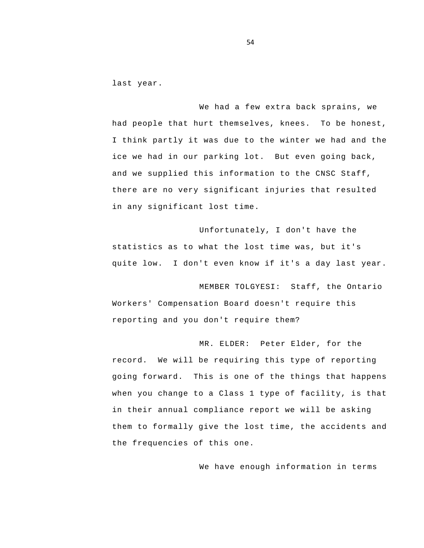last year.

We had a few extra back sprains, we had people that hurt themselves, knees. To be honest, I think partly it was due to the winter we had and the ice we had in our parking lot. But even going back, and we supplied this information to the CNSC Staff, there are no very significant injuries that resulted in any significant lost time.

Unfortunately, I don't have the statistics as to what the lost time was, but it's quite low. I don't even know if it's a day last year.

MEMBER TOLGYESI: Staff, the Ontario Workers' Compensation Board doesn't require this reporting and you don't require them?

MR. ELDER: Peter Elder, for the record. We will be requiring this type of reporting going forward. This is one of the things that happens when you change to a Class 1 type of facility, is that in their annual compliance report we will be asking them to formally give the lost time, the accidents and the frequencies of this one.

We have enough information in terms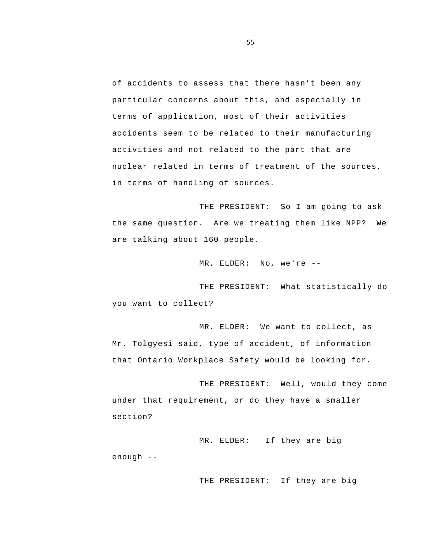of accidents to assess that there hasn't been any particular concerns about this, and especially in terms of application, most of their activities accidents seem to be related to their manufacturing activities and not related to the part that are nuclear related in terms of treatment of the sources, in terms of handling of sources.

THE PRESIDENT: So I am going to ask the same question. Are we treating them like NPP? We are talking about 160 people.

MR. ELDER: No, we're -

THE PRESIDENT: What statistically do you want to collect?

MR. ELDER: We want to collect, as Mr. Tolgyesi said, type of accident, of information that Ontario Workplace Safety would be looking for.

THE PRESIDENT: Well, would they come under that requirement, or do they have a smaller section?

 MR. ELDER: If they are big enough -

THE PRESIDENT: If they are big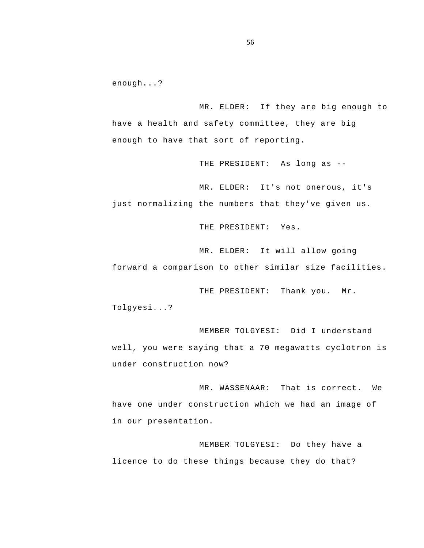enough...?

MR. ELDER: If they are big enough to have a health and safety committee, they are big enough to have that sort of reporting.

THE PRESIDENT: As long as -

MR. ELDER: It's not onerous, it's just normalizing the numbers that they've given us.

THE PRESIDENT: Yes.

MR. ELDER: It will allow going forward a comparison to other similar size facilities.

THE PRESIDENT: Thank you. Mr. Tolgyesi...?

MEMBER TOLGYESI: Did I understand well, you were saying that a 70 megawatts cyclotron is under construction now?

MR. WASSENAAR: That is correct. We have one under construction which we had an image of in our presentation.

 licence to do these things because they do that? MEMBER TOLGYESI: Do they have a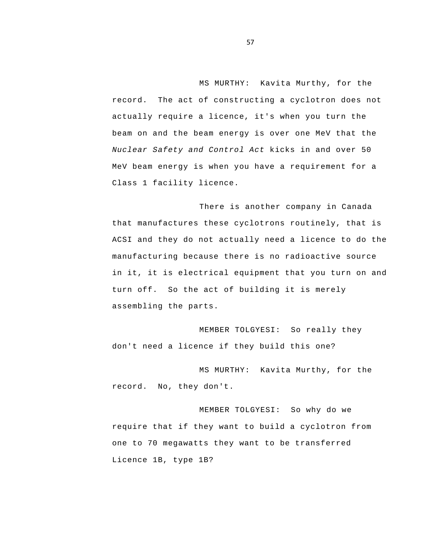MS MURTHY: Kavita Murthy, for the record. The act of constructing a cyclotron does not actually require a licence, it's when you turn the beam on and the beam energy is over one MeV that the *Nuclear Safety and Control Act* kicks in and over 50 MeV beam energy is when you have a requirement for a Class 1 facility licence.

 ACSI and they do not actually need a licence to do the There is another company in Canada that manufactures these cyclotrons routinely, that is manufacturing because there is no radioactive source in it, it is electrical equipment that you turn on and turn off. So the act of building it is merely assembling the parts.

MEMBER TOLGYESI: So really they don't need a licence if they build this one?

MS MURTHY: Kavita Murthy, for the record. No, they don't.

MEMBER TOLGYESI: So why do we require that if they want to build a cyclotron from one to 70 megawatts they want to be transferred Licence 1B, type 1B?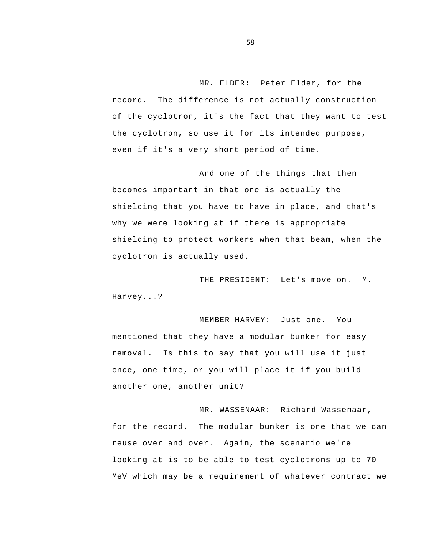MR. ELDER: Peter Elder, for the record. The difference is not actually construction of the cyclotron, it's the fact that they want to test the cyclotron, so use it for its intended purpose, even if it's a very short period of time.

And one of the things that then becomes important in that one is actually the shielding that you have to have in place, and that's why we were looking at if there is appropriate shielding to protect workers when that beam, when the cyclotron is actually used.

THE PRESIDENT: Let's move on. M. Harvey...?

MEMBER HARVEY: Just one. You mentioned that they have a modular bunker for easy removal. Is this to say that you will use it just once, one time, or you will place it if you build another one, another unit?

MR. WASSENAAR: Richard Wassenaar, for the record. The modular bunker is one that we can reuse over and over. Again, the scenario we're looking at is to be able to test cyclotrons up to 70 MeV which may be a requirement of whatever contract we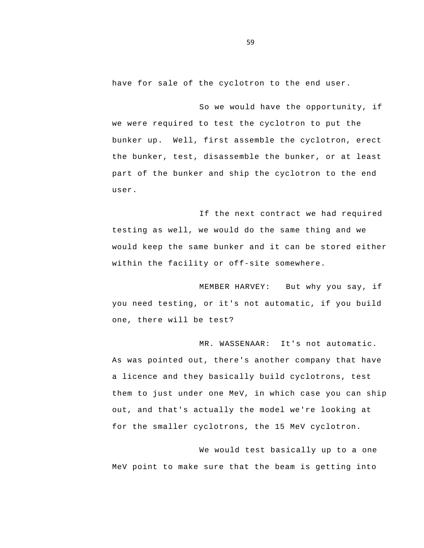have for sale of the cyclotron to the end user.

So we would have the opportunity, if we were required to test the cyclotron to put the bunker up. Well, first assemble the cyclotron, erect the bunker, test, disassemble the bunker, or at least part of the bunker and ship the cyclotron to the end user.

If the next contract we had required testing as well, we would do the same thing and we would keep the same bunker and it can be stored either within the facility or off-site somewhere.

MEMBER HARVEY: But why you say, if you need testing, or it's not automatic, if you build one, there will be test?

MR. WASSENAAR: It's not automatic. As was pointed out, there's another company that have a licence and they basically build cyclotrons, test them to just under one MeV, in which case you can ship out, and that's actually the model we're looking at for the smaller cyclotrons, the 15 MeV cyclotron.

We would test basically up to a one MeV point to make sure that the beam is getting into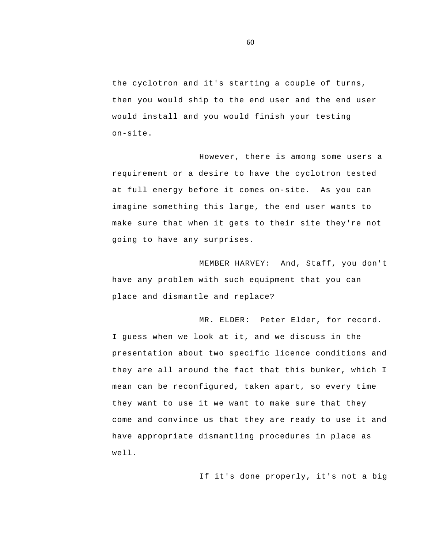the cyclotron and it's starting a couple of turns, then you would ship to the end user and the end user would install and you would finish your testing on-site.

However, there is among some users a requirement or a desire to have the cyclotron tested at full energy before it comes on-site. As you can imagine something this large, the end user wants to make sure that when it gets to their site they're not going to have any surprises.

MEMBER HARVEY: And, Staff, you don't have any problem with such equipment that you can place and dismantle and replace?

MR. ELDER: Peter Elder, for record. I guess when we look at it, and we discuss in the presentation about two specific licence conditions and they are all around the fact that this bunker, which I mean can be reconfigured, taken apart, so every time they want to use it we want to make sure that they come and convince us that they are ready to use it and have appropriate dismantling procedures in place as well.

If it's done properly, it's not a big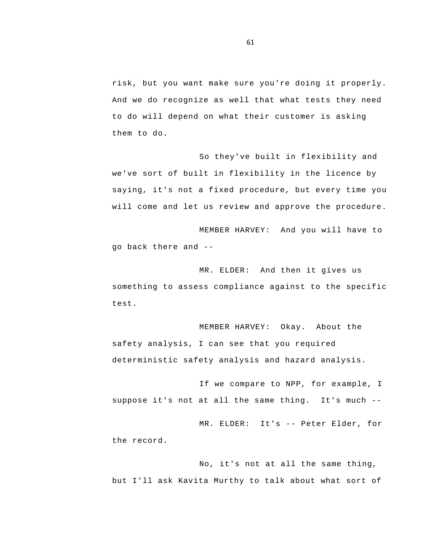risk, but you want make sure you're doing it properly. And we do recognize as well that what tests they need to do will depend on what their customer is asking them to do.

So they've built in flexibility and we've sort of built in flexibility in the licence by saying, it's not a fixed procedure, but every time you will come and let us review and approve the procedure.

 go back there and - MEMBER HARVEY: And you will have to

MR. ELDER: And then it gives us something to assess compliance against to the specific test.

MEMBER HARVEY: Okay. About the safety analysis, I can see that you required deterministic safety analysis and hazard analysis.

 suppose it's not at all the same thing. It's much - If we compare to NPP, for example, I

 MR. ELDER: It's -- Peter Elder, for the record.

No, it's not at all the same thing, but I'll ask Kavita Murthy to talk about what sort of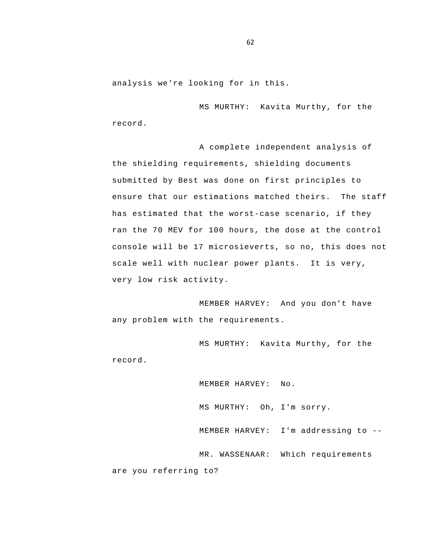analysis we're looking for in this.

MS MURTHY: Kavita Murthy, for the record.

A complete independent analysis of the shielding requirements, shielding documents submitted by Best was done on first principles to ensure that our estimations matched theirs. The staff has estimated that the worst-case scenario, if they ran the 70 MEV for 100 hours, the dose at the control console will be 17 microsieverts, so no, this does not scale well with nuclear power plants. It is very, very low risk activity.

MEMBER HARVEY: And you don't have any problem with the requirements.

MS MURTHY: Kavita Murthy, for the record.

 MEMBER HARVEY: I'm addressing to - MEMBER HARVEY: No. MS MURTHY: Oh, I'm sorry. MR. WASSENAAR: Which requirements are you referring to?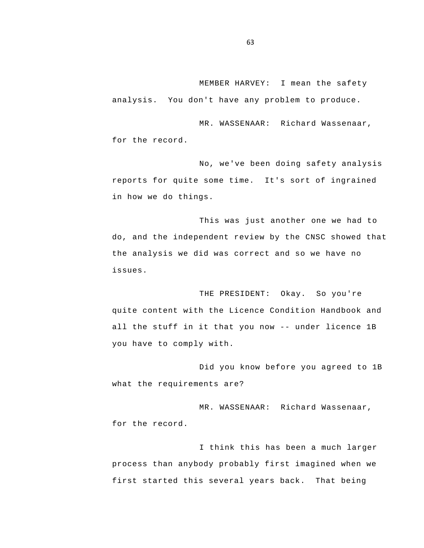MEMBER HARVEY: I mean the safety analysis. You don't have any problem to produce.

MR. WASSENAAR: Richard Wassenaar, for the record.

No, we've been doing safety analysis reports for quite some time. It's sort of ingrained in how we do things.

This was just another one we had to do, and the independent review by the CNSC showed that the analysis we did was correct and so we have no issues.

 all the stuff in it that you now -- under licence 1B THE PRESIDENT: Okay. So you're quite content with the Licence Condition Handbook and you have to comply with.

Did you know before you agreed to 1B what the requirements are?

MR. WASSENAAR: Richard Wassenaar, for the record.

I think this has been a much larger process than anybody probably first imagined when we first started this several years back. That being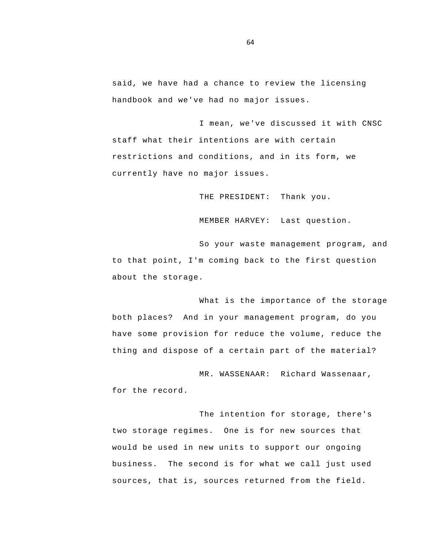said, we have had a chance to review the licensing handbook and we've had no major issues.

I mean, we've discussed it with CNSC staff what their intentions are with certain restrictions and conditions, and in its form, we currently have no major issues.

THE PRESIDENT: Thank you.

MEMBER HARVEY: Last question.

So your waste management program, and to that point, I'm coming back to the first question about the storage.

What is the importance of the storage both places? And in your management program, do you have some provision for reduce the volume, reduce the thing and dispose of a certain part of the material?

MR. WASSENAAR: Richard Wassenaar, for the record.

The intention for storage, there's two storage regimes. One is for new sources that would be used in new units to support our ongoing business. The second is for what we call just used sources, that is, sources returned from the field.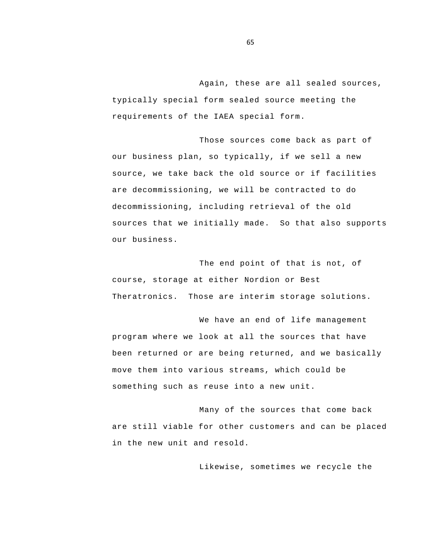Again, these are all sealed sources, typically special form sealed source meeting the requirements of the IAEA special form.

Those sources come back as part of our business plan, so typically, if we sell a new source, we take back the old source or if facilities are decommissioning, we will be contracted to do decommissioning, including retrieval of the old sources that we initially made. So that also supports our business.

The end point of that is not, of course, storage at either Nordion or Best Theratronics. Those are interim storage solutions.

We have an end of life management program where we look at all the sources that have been returned or are being returned, and we basically move them into various streams, which could be something such as reuse into a new unit.

 are still viable for other customers and can be placed Many of the sources that come back in the new unit and resold.

Likewise, sometimes we recycle the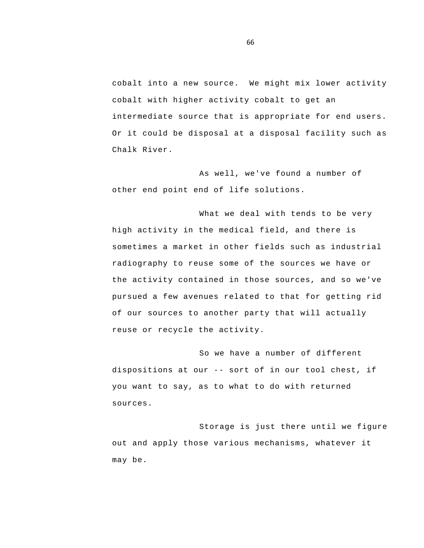cobalt into a new source. We might mix lower activity cobalt with higher activity cobalt to get an intermediate source that is appropriate for end users. Or it could be disposal at a disposal facility such as Chalk River.

As well, we've found a number of other end point end of life solutions.

What we deal with tends to be very high activity in the medical field, and there is sometimes a market in other fields such as industrial radiography to reuse some of the sources we have or the activity contained in those sources, and so we've pursued a few avenues related to that for getting rid of our sources to another party that will actually reuse or recycle the activity.

 dispositions at our -- sort of in our tool chest, if So we have a number of different you want to say, as to what to do with returned sources.

Storage is just there until we figure out and apply those various mechanisms, whatever it may be.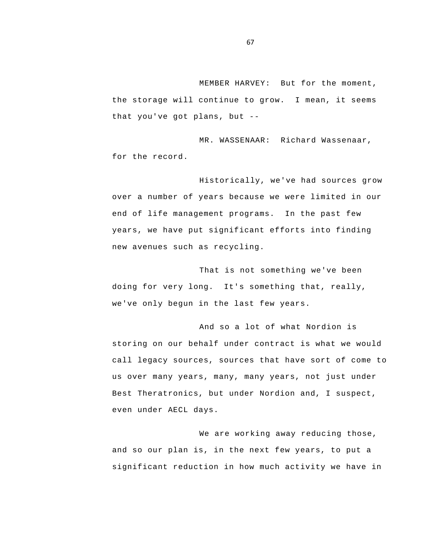that you've got plans, but - MEMBER HARVEY: But for the moment, the storage will continue to grow. I mean, it seems

MR. WASSENAAR: Richard Wassenaar, for the record.

Historically, we've had sources grow over a number of years because we were limited in our end of life management programs. In the past few years, we have put significant efforts into finding new avenues such as recycling.

That is not something we've been doing for very long. It's something that, really, we've only begun in the last few years.

And so a lot of what Nordion is storing on our behalf under contract is what we would call legacy sources, sources that have sort of come to us over many years, many, many years, not just under Best Theratronics, but under Nordion and, I suspect, even under AECL days.

We are working away reducing those, and so our plan is, in the next few years, to put a significant reduction in how much activity we have in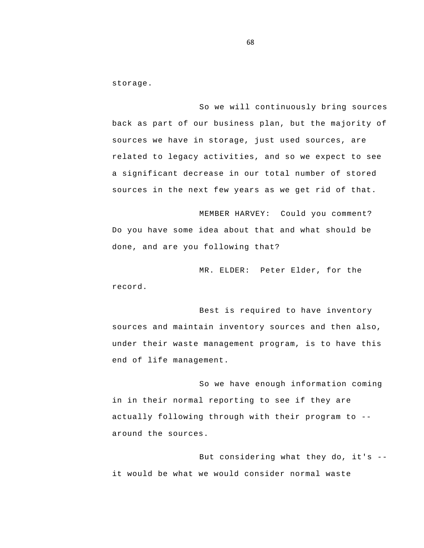storage.

So we will continuously bring sources back as part of our business plan, but the majority of sources we have in storage, just used sources, are related to legacy activities, and so we expect to see a significant decrease in our total number of stored sources in the next few years as we get rid of that.

MEMBER HARVEY: Could you comment? Do you have some idea about that and what should be done, and are you following that?

MR. ELDER: Peter Elder, for the record.

Best is required to have inventory sources and maintain inventory sources and then also, under their waste management program, is to have this end of life management.

 actually following through with their program to - So we have enough information coming in in their normal reporting to see if they are around the sources.

 But considering what they do, it's it would be what we would consider normal waste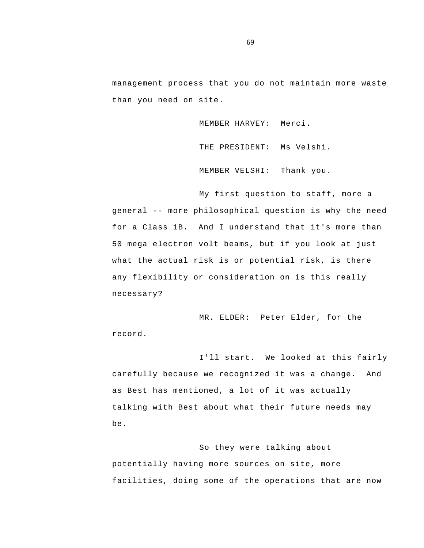management process that you do not maintain more waste than you need on site.

MEMBER HARVEY: Merci.

THE PRESIDENT: Ms Velshi.

MEMBER VELSHI: Thank you.

 general -- more philosophical question is why the need My first question to staff, more a for a Class 1B. And I understand that it's more than 50 mega electron volt beams, but if you look at just what the actual risk is or potential risk, is there any flexibility or consideration on is this really necessary?

MR. ELDER: Peter Elder, for the record.

I'll start. We looked at this fairly carefully because we recognized it was a change. And as Best has mentioned, a lot of it was actually talking with Best about what their future needs may be.

So they were talking about potentially having more sources on site, more facilities, doing some of the operations that are now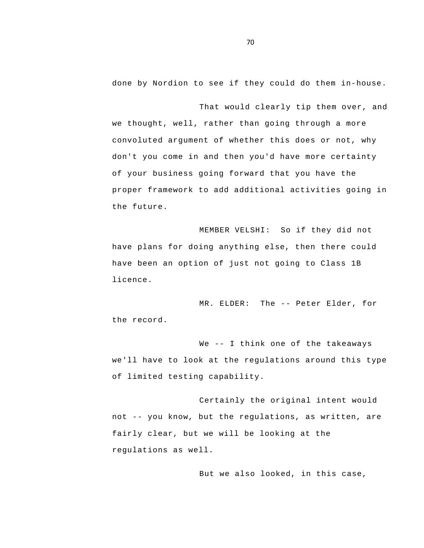done by Nordion to see if they could do them in-house.

That would clearly tip them over, and we thought, well, rather than going through a more convoluted argument of whether this does or not, why don't you come in and then you'd have more certainty of your business going forward that you have the proper framework to add additional activities going in the future.

MEMBER VELSHI: So if they did not have plans for doing anything else, then there could have been an option of just not going to Class 1B licence.

 MR. ELDER: The -- Peter Elder, for the record.

 We -- I think one of the takeaways we'll have to look at the regulations around this type of limited testing capability.

 not -- you know, but the regulations, as written, are Certainly the original intent would fairly clear, but we will be looking at the regulations as well.

But we also looked, in this case,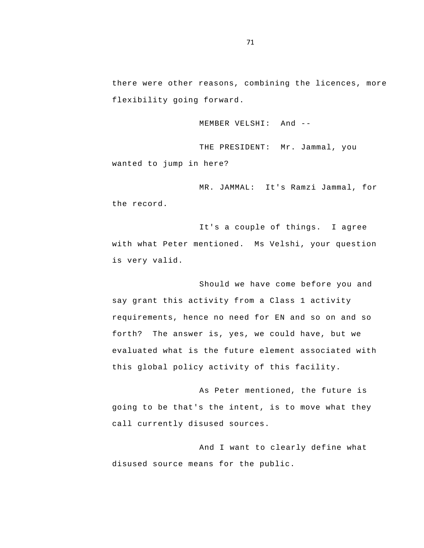there were other reasons, combining the licences, more flexibility going forward.

MEMBER VELSHI: And -

THE PRESIDENT: Mr. Jammal, you wanted to jump in here?

MR. JAMMAL: It's Ramzi Jammal, for the record.

It's a couple of things. I agree with what Peter mentioned. Ms Velshi, your question is very valid.

Should we have come before you and say grant this activity from a Class 1 activity requirements, hence no need for EN and so on and so forth? The answer is, yes, we could have, but we evaluated what is the future element associated with this global policy activity of this facility.

As Peter mentioned, the future is going to be that's the intent, is to move what they call currently disused sources.

And I want to clearly define what disused source means for the public.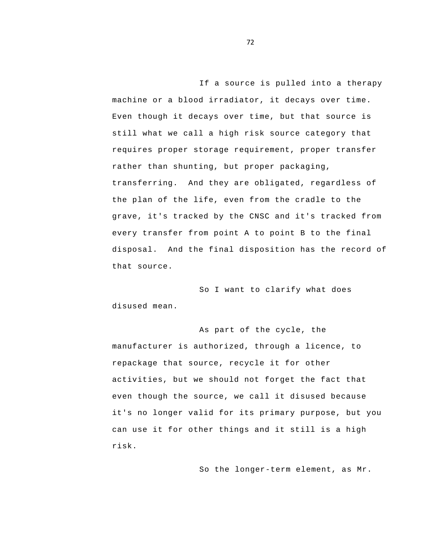If a source is pulled into a therapy machine or a blood irradiator, it decays over time. Even though it decays over time, but that source is still what we call a high risk source category that requires proper storage requirement, proper transfer rather than shunting, but proper packaging, transferring. And they are obligated, regardless of the plan of the life, even from the cradle to the grave, it's tracked by the CNSC and it's tracked from every transfer from point A to point B to the final disposal. And the final disposition has the record of that source.

So I want to clarify what does disused mean.

As part of the cycle, the manufacturer is authorized, through a licence, to repackage that source, recycle it for other activities, but we should not forget the fact that even though the source, we call it disused because it's no longer valid for its primary purpose, but you can use it for other things and it still is a high risk.

So the longer-term element, as Mr.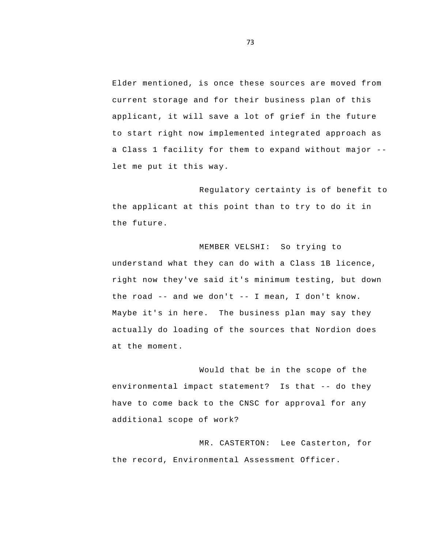a Class 1 facility for them to expand without major - Elder mentioned, is once these sources are moved from current storage and for their business plan of this applicant, it will save a lot of grief in the future to start right now implemented integrated approach as let me put it this way.

Regulatory certainty is of benefit to the applicant at this point than to try to do it in the future.

 the road -- and we don't -- I mean, I don't know. MEMBER VELSHI: So trying to understand what they can do with a Class 1B licence, right now they've said it's minimum testing, but down Maybe it's in here. The business plan may say they actually do loading of the sources that Nordion does at the moment.

 environmental impact statement? Is that -- do they Would that be in the scope of the have to come back to the CNSC for approval for any additional scope of work?

MR. CASTERTON: Lee Casterton, for the record, Environmental Assessment Officer.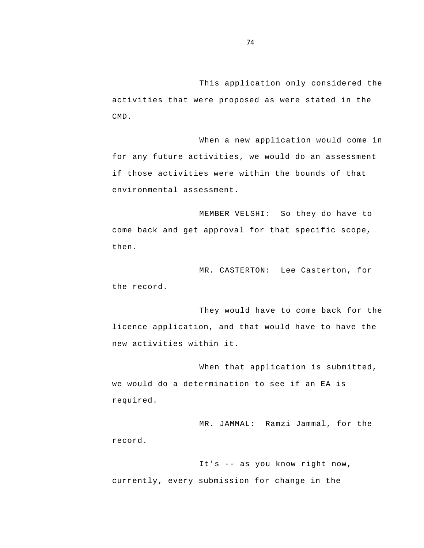This application only considered the activities that were proposed as were stated in the CMD.

When a new application would come in for any future activities, we would do an assessment if those activities were within the bounds of that environmental assessment.

MEMBER VELSHI: So they do have to come back and get approval for that specific scope, then.

MR. CASTERTON: Lee Casterton, for the record.

They would have to come back for the licence application, and that would have to have the new activities within it.

When that application is submitted, we would do a determination to see if an EA is required.

MR. JAMMAL: Ramzi Jammal, for the record.

 It's -- as you know right now, currently, every submission for change in the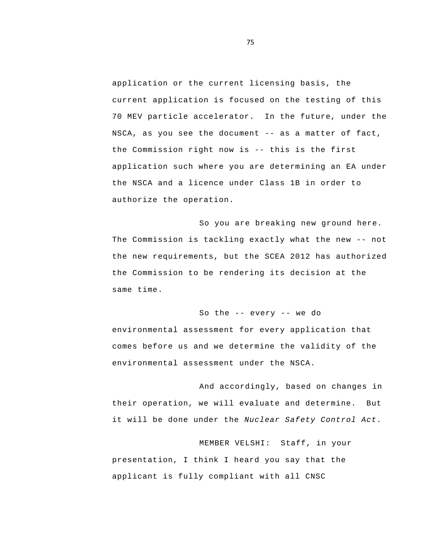NSCA, as you see the document -- as a matter of fact, the Commission right now is -- this is the first application or the current licensing basis, the current application is focused on the testing of this 70 MEV particle accelerator. In the future, under the application such where you are determining an EA under the NSCA and a licence under Class 1B in order to authorize the operation.

 The Commission is tackling exactly what the new -- not So you are breaking new ground here. the new requirements, but the SCEA 2012 has authorized the Commission to be rendering its decision at the same time.

## So the -- every -- we do

environmental assessment for every application that comes before us and we determine the validity of the environmental assessment under the NSCA.

And accordingly, based on changes in their operation, we will evaluate and determine. But it will be done under the *Nuclear Safety Control Act*.

MEMBER VELSHI: Staff, in your presentation, I think I heard you say that the applicant is fully compliant with all CNSC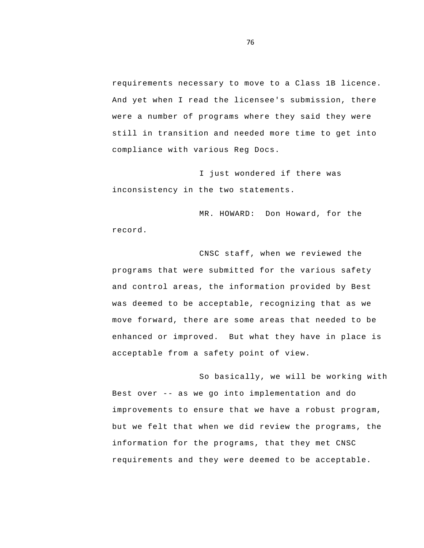requirements necessary to move to a Class 1B licence. And yet when I read the licensee's submission, there were a number of programs where they said they were still in transition and needed more time to get into compliance with various Reg Docs.

I just wondered if there was inconsistency in the two statements.

MR. HOWARD: Don Howard, for the record.

CNSC staff, when we reviewed the programs that were submitted for the various safety and control areas, the information provided by Best was deemed to be acceptable, recognizing that as we move forward, there are some areas that needed to be enhanced or improved. But what they have in place is acceptable from a safety point of view.

 Best over -- as we go into implementation and do So basically, we will be working with improvements to ensure that we have a robust program, but we felt that when we did review the programs, the information for the programs, that they met CNSC requirements and they were deemed to be acceptable.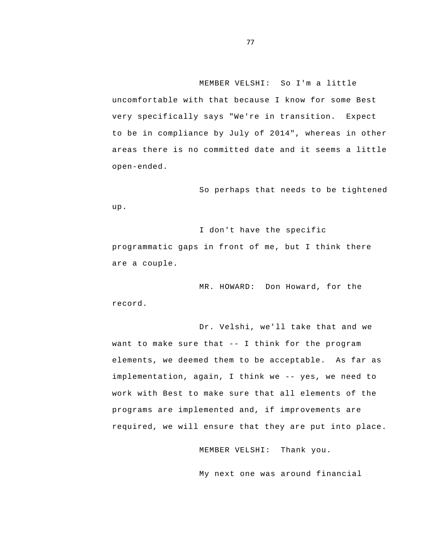MEMBER VELSHI: So I'm a little uncomfortable with that because I know for some Best very specifically says "We're in transition. Expect to be in compliance by July of 2014", whereas in other areas there is no committed date and it seems a little open-ended.

So perhaps that needs to be tightened up.

I don't have the specific programmatic gaps in front of me, but I think there are a couple.

MR. HOWARD: Don Howard, for the record.

 want to make sure that -- I think for the program implementation, again, I think we -- yes, we need to Dr. Velshi, we'll take that and we elements, we deemed them to be acceptable. As far as work with Best to make sure that all elements of the programs are implemented and, if improvements are required, we will ensure that they are put into place.

MEMBER VELSHI: Thank you.

My next one was around financial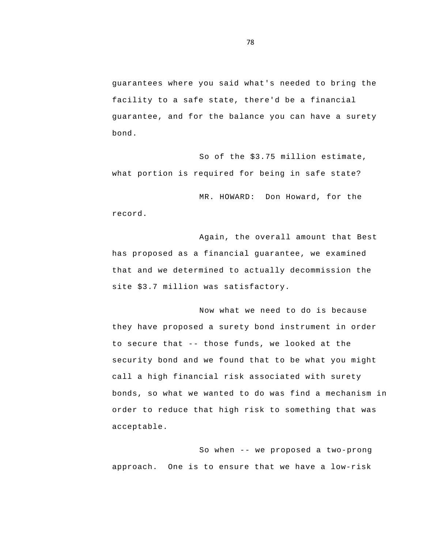guarantees where you said what's needed to bring the facility to a safe state, there'd be a financial guarantee, and for the balance you can have a surety bond.

So of the \$3.75 million estimate, what portion is required for being in safe state?

MR. HOWARD: Don Howard, for the record.

Again, the overall amount that Best has proposed as a financial guarantee, we examined that and we determined to actually decommission the site \$3.7 million was satisfactory.

 to secure that -- those funds, we looked at the Now what we need to do is because they have proposed a surety bond instrument in order security bond and we found that to be what you might call a high financial risk associated with surety bonds, so what we wanted to do was find a mechanism in order to reduce that high risk to something that was acceptable.

 So when -- we proposed a two-prong approach. One is to ensure that we have a low-risk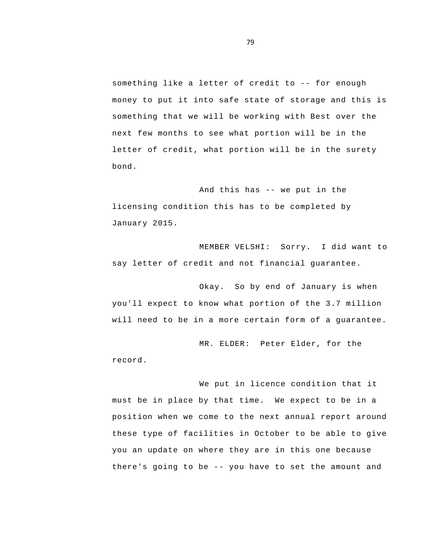something like a letter of credit to -- for enough money to put it into safe state of storage and this is something that we will be working with Best over the next few months to see what portion will be in the letter of credit, what portion will be in the surety bond.

 And this has -- we put in the licensing condition this has to be completed by January 2015.

MEMBER VELSHI: Sorry. I did want to say letter of credit and not financial guarantee.

Okay. So by end of January is when you'll expect to know what portion of the 3.7 million will need to be in a more certain form of a guarantee.

MR. ELDER: Peter Elder, for the record.

 position when we come to the next annual report around there's going to be -- you have to set the amount and We put in licence condition that it must be in place by that time. We expect to be in a these type of facilities in October to be able to give you an update on where they are in this one because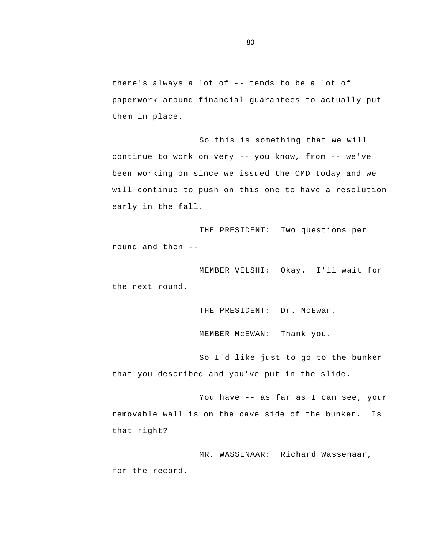there's always a lot of -- tends to be a lot of paperwork around financial guarantees to actually put them in place.

 continue to work on very -- you know, from -- we've So this is something that we will been working on since we issued the CMD today and we will continue to push on this one to have a resolution early in the fall.

 round and then - THE PRESIDENT: Two questions per

MEMBER VELSHI: Okay. I'll wait for the next round.

THE PRESIDENT: Dr. McEwan.

MEMBER McEWAN: Thank you.

So I'd like just to go to the bunker that you described and you've put in the slide.

 You have -- as far as I can see, your that right? removable wall is on the cave side of the bunker. Is

MR. WASSENAAR: Richard Wassenaar, for the record.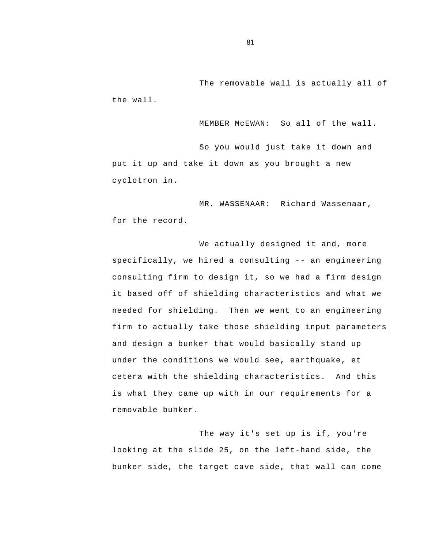The removable wall is actually all of the wall.

MEMBER McEWAN: So all of the wall.

So you would just take it down and put it up and take it down as you brought a new cyclotron in.

MR. WASSENAAR: Richard Wassenaar, for the record.

 specifically, we hired a consulting -- an engineering We actually designed it and, more consulting firm to design it, so we had a firm design it based off of shielding characteristics and what we needed for shielding. Then we went to an engineering firm to actually take those shielding input parameters and design a bunker that would basically stand up under the conditions we would see, earthquake, et cetera with the shielding characteristics. And this is what they came up with in our requirements for a removable bunker.

The way it's set up is if, you're looking at the slide 25, on the left-hand side, the bunker side, the target cave side, that wall can come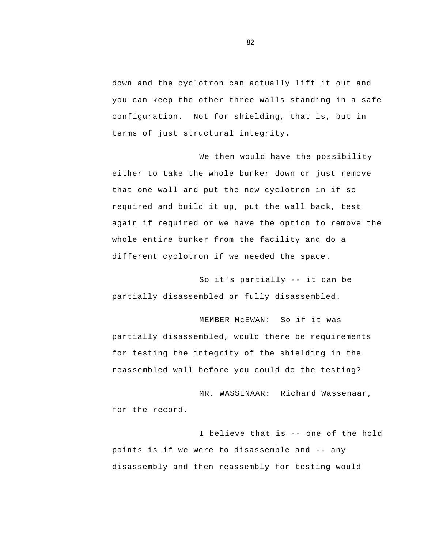down and the cyclotron can actually lift it out and you can keep the other three walls standing in a safe configuration. Not for shielding, that is, but in terms of just structural integrity.

We then would have the possibility either to take the whole bunker down or just remove that one wall and put the new cyclotron in if so required and build it up, put the wall back, test again if required or we have the option to remove the whole entire bunker from the facility and do a different cyclotron if we needed the space.

 So it's partially -- it can be partially disassembled or fully disassembled.

MEMBER McEWAN: So if it was partially disassembled, would there be requirements for testing the integrity of the shielding in the reassembled wall before you could do the testing?

MR. WASSENAAR: Richard Wassenaar, for the record.

 I believe that is -- one of the hold points is if we were to disassemble and -- any disassembly and then reassembly for testing would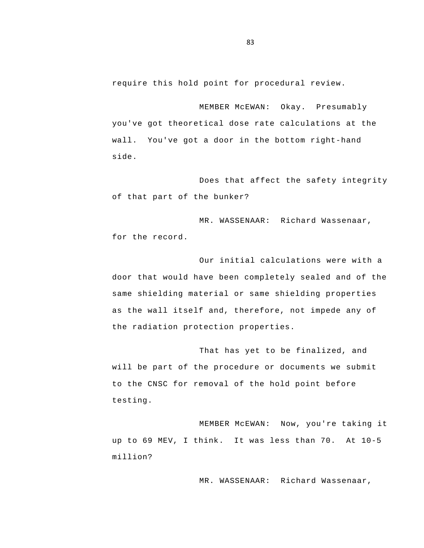require this hold point for procedural review.

MEMBER McEWAN: Okay. Presumably you've got theoretical dose rate calculations at the wall. You've got a door in the bottom right-hand side.

Does that affect the safety integrity of that part of the bunker?

MR. WASSENAAR: Richard Wassenaar, for the record.

Our initial calculations were with a door that would have been completely sealed and of the same shielding material or same shielding properties as the wall itself and, therefore, not impede any of the radiation protection properties.

That has yet to be finalized, and will be part of the procedure or documents we submit to the CNSC for removal of the hold point before testing.

MEMBER McEWAN: Now, you're taking it up to 69 MEV, I think. It was less than 70. At 10-5 million?

MR. WASSENAAR: Richard Wassenaar,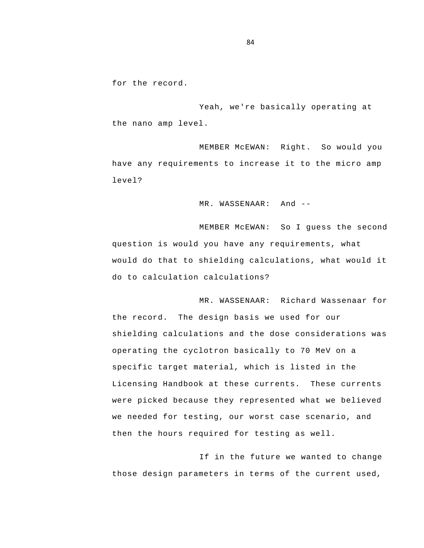for the record.

Yeah, we're basically operating at the nano amp level.

MEMBER McEWAN: Right. So would you have any requirements to increase it to the micro amp level?

MR. WASSENAAR: And --

MEMBER McEWAN: So I guess the second question is would you have any requirements, what would do that to shielding calculations, what would it do to calculation calculations?

MR. WASSENAAR: Richard Wassenaar for the record. The design basis we used for our shielding calculations and the dose considerations was operating the cyclotron basically to 70 MeV on a specific target material, which is listed in the Licensing Handbook at these currents. These currents were picked because they represented what we believed we needed for testing, our worst case scenario, and then the hours required for testing as well.

If in the future we wanted to change those design parameters in terms of the current used,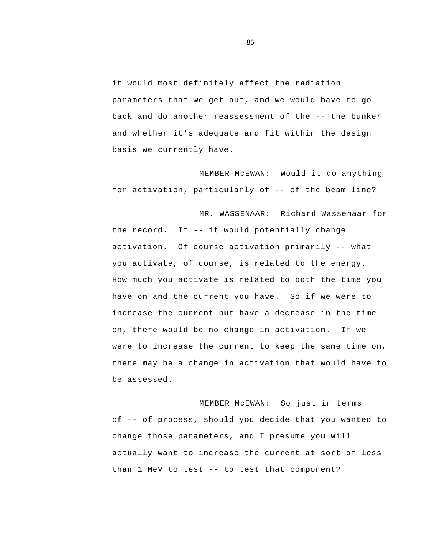back and do another reassessment of the -- the bunker it would most definitely affect the radiation parameters that we get out, and we would have to go and whether it's adequate and fit within the design basis we currently have.

 for activation, particularly of -- of the beam line? MEMBER McEWAN: Would it do anything

 the record. It -- it would potentially change activation. Of course activation primarily -- what MR. WASSENAAR: Richard Wassenaar for you activate, of course, is related to the energy. How much you activate is related to both the time you have on and the current you have. So if we were to increase the current but have a decrease in the time on, there would be no change in activation. If we were to increase the current to keep the same time on, there may be a change in activation that would have to be assessed.

 of -- of process, should you decide that you wanted to than 1 MeV to test -- to test that component? MEMBER McEWAN: So just in terms change those parameters, and I presume you will actually want to increase the current at sort of less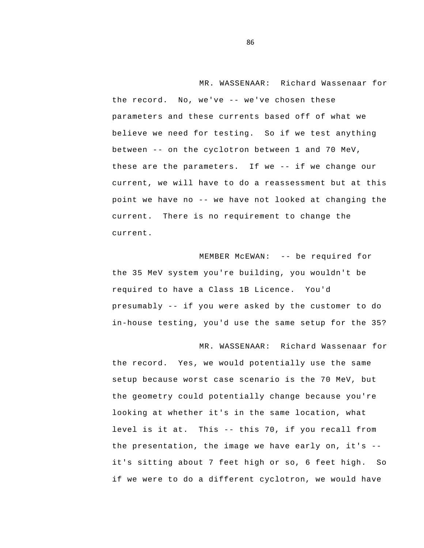the record. No, we've -- we've chosen these between -- on the cyclotron between 1 and 70 MeV, these are the parameters. If we -- if we change our point we have no -- we have not looked at changing the MR. WASSENAAR: Richard Wassenaar for parameters and these currents based off of what we believe we need for testing. So if we test anything current, we will have to do a reassessment but at this current. There is no requirement to change the current.

 MEMBER McEWAN: -- be required for presumably -- if you were asked by the customer to do the 35 MeV system you're building, you wouldn't be required to have a Class 1B Licence. You'd in-house testing, you'd use the same setup for the 35?

 level is it at. This -- this 70, if you recall from the presentation, the image we have early on, it's - MR. WASSENAAR: Richard Wassenaar for the record. Yes, we would potentially use the same setup because worst case scenario is the 70 MeV, but the geometry could potentially change because you're looking at whether it's in the same location, what it's sitting about 7 feet high or so, 6 feet high. So if we were to do a different cyclotron, we would have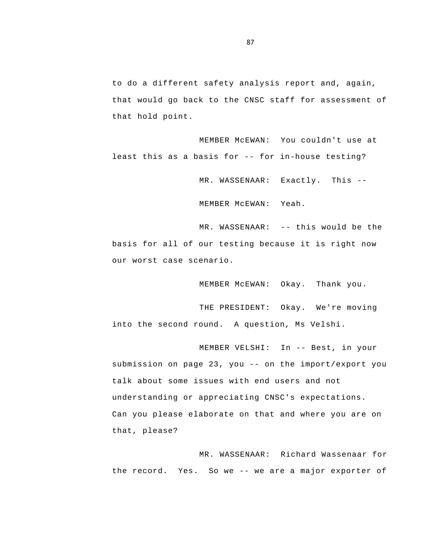to do a different safety analysis report and, again, that would go back to the CNSC staff for assessment of that hold point.

 least this as a basis for -- for in-house testing? MEMBER McEWAN: You couldn't use at

MR. WASSENAAR: Exactly. This -

MEMBER McEWAN: Yeah.

 MR. WASSENAAR: -- this would be the basis for all of our testing because it is right now our worst case scenario.

MEMBER McEWAN: Okay. Thank you.

THE PRESIDENT: Okay. We're moving into the second round. A question, Ms Velshi.

 MEMBER VELSHI: In -- Best, in your submission on page 23, you -- on the import/export you talk about some issues with end users and not understanding or appreciating CNSC's expectations. Can you please elaborate on that and where you are on that, please?

 the record. Yes. So we -- we are a major exporter of MR. WASSENAAR: Richard Wassenaar for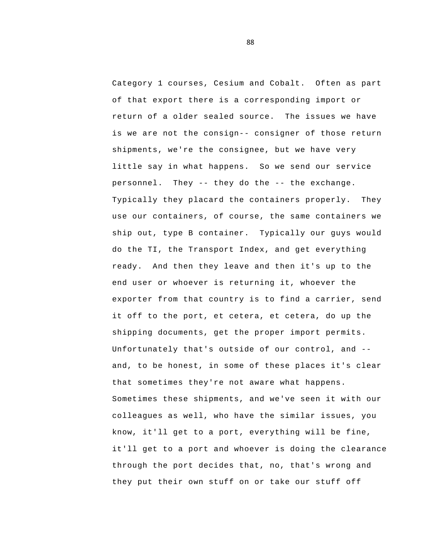personnel. They -- they do the -- the exchange. Unfortunately that's outside of our control, and - Category 1 courses, Cesium and Cobalt. Often as part of that export there is a corresponding import or return of a older sealed source. The issues we have is we are not the consign-- consigner of those return shipments, we're the consignee, but we have very little say in what happens. So we send our service Typically they placard the containers properly. They use our containers, of course, the same containers we ship out, type B container. Typically our guys would do the TI, the Transport Index, and get everything ready. And then they leave and then it's up to the end user or whoever is returning it, whoever the exporter from that country is to find a carrier, send it off to the port, et cetera, et cetera, do up the shipping documents, get the proper import permits. and, to be honest, in some of these places it's clear that sometimes they're not aware what happens. Sometimes these shipments, and we've seen it with our colleagues as well, who have the similar issues, you know, it'll get to a port, everything will be fine, it'll get to a port and whoever is doing the clearance through the port decides that, no, that's wrong and they put their own stuff on or take our stuff off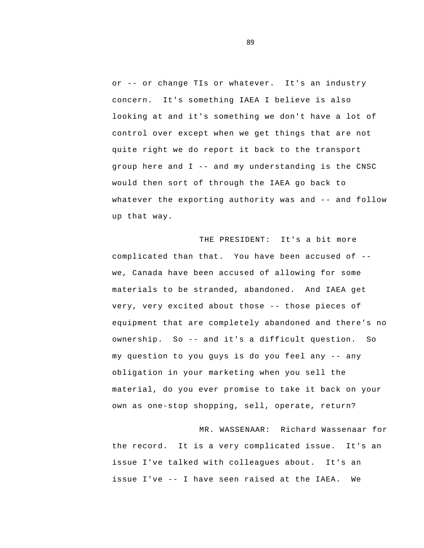or -- or change TIs or whatever. It's an industry group here and I -- and my understanding is the CNSC whatever the exporting authority was and -- and follow concern. It's something IAEA I believe is also looking at and it's something we don't have a lot of control over except when we get things that are not quite right we do report it back to the transport would then sort of through the IAEA go back to up that way.

 complicated than that. You have been accused of - very, very excited about those -- those pieces of ownership. So -- and it's a difficult question. So my question to you guys is do you feel any -- any THE PRESIDENT: It's a bit more we, Canada have been accused of allowing for some materials to be stranded, abandoned. And IAEA get equipment that are completely abandoned and there's no obligation in your marketing when you sell the material, do you ever promise to take it back on your own as one-stop shopping, sell, operate, return?

 issue I've -- I have seen raised at the IAEA. We MR. WASSENAAR: Richard Wassenaar for the record. It is a very complicated issue. It's an issue I've talked with colleagues about. It's an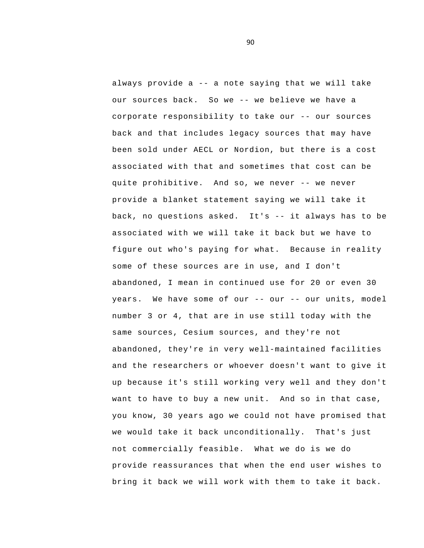always provide a -- a note saying that we will take our sources back. So we -- we believe we have a corporate responsibility to take our -- our sources quite prohibitive. And so, we never -- we never back, no questions asked. It's -- it always has to be years. We have some of our -- our -- our units, model back and that includes legacy sources that may have been sold under AECL or Nordion, but there is a cost associated with that and sometimes that cost can be provide a blanket statement saying we will take it associated with we will take it back but we have to figure out who's paying for what. Because in reality some of these sources are in use, and I don't abandoned, I mean in continued use for 20 or even 30 number 3 or 4, that are in use still today with the same sources, Cesium sources, and they're not abandoned, they're in very well-maintained facilities and the researchers or whoever doesn't want to give it up because it's still working very well and they don't want to have to buy a new unit. And so in that case, you know, 30 years ago we could not have promised that we would take it back unconditionally. That's just not commercially feasible. What we do is we do provide reassurances that when the end user wishes to bring it back we will work with them to take it back.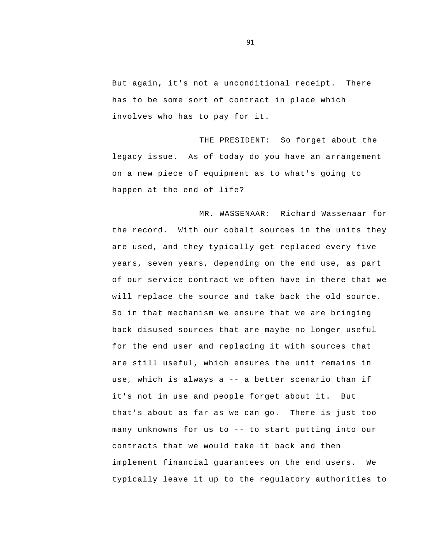But again, it's not a unconditional receipt. There has to be some sort of contract in place which involves who has to pay for it.

THE PRESIDENT: So forget about the legacy issue. As of today do you have an arrangement on a new piece of equipment as to what's going to happen at the end of life?

 use, which is always a -- a better scenario than if many unknowns for us to -- to start putting into our MR. WASSENAAR: Richard Wassenaar for the record. With our cobalt sources in the units they are used, and they typically get replaced every five years, seven years, depending on the end use, as part of our service contract we often have in there that we will replace the source and take back the old source.<br>So in that mechanism we ensure that we are bringing back disused sources that are maybe no longer useful for the end user and replacing it with sources that are still useful, which ensures the unit remains in it's not in use and people forget about it. But that's about as far as we can go. There is just too contracts that we would take it back and then implement financial guarantees on the end users. We typically leave it up to the regulatory authorities to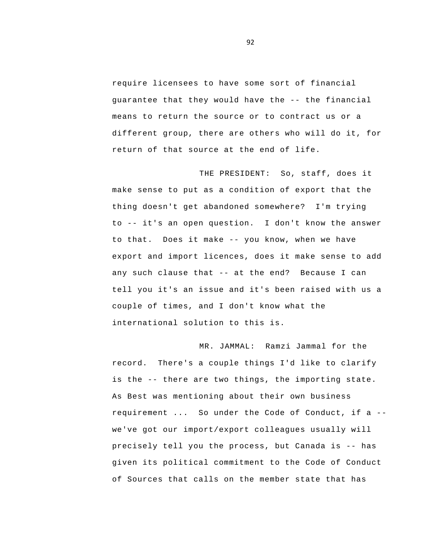guarantee that they would have the -- the financial require licensees to have some sort of financial means to return the source or to contract us or a different group, there are others who will do it, for return of that source at the end of life.

 to -- it's an open question. I don't know the answer to that. Does it make -- you know, when we have any such clause that -- at the end? Because I can THE PRESIDENT: So, staff, does it make sense to put as a condition of export that the thing doesn't get abandoned somewhere? I'm trying export and import licences, does it make sense to add tell you it's an issue and it's been raised with us a couple of times, and I don't know what the international solution to this is.

 is the -- there are two things, the importing state. requirement ... So under the Code of Conduct, if a - precisely tell you the process, but Canada is -- has MR. JAMMAL: Ramzi Jammal for the record. There's a couple things I'd like to clarify As Best was mentioning about their own business we've got our import/export colleagues usually will given its political commitment to the Code of Conduct of Sources that calls on the member state that has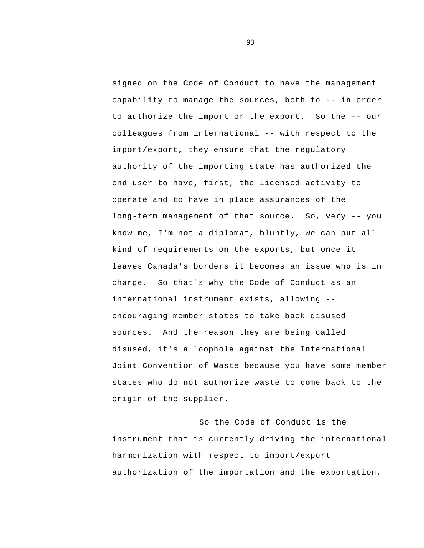capability to manage the sources, both to -- in order to authorize the import or the export. So the -- our colleagues from international -- with respect to the long-term management of that source. So, very -- you international instrument exists, allowing signed on the Code of Conduct to have the management import/export, they ensure that the regulatory authority of the importing state has authorized the end user to have, first, the licensed activity to operate and to have in place assurances of the know me, I'm not a diplomat, bluntly, we can put all kind of requirements on the exports, but once it leaves Canada's borders it becomes an issue who is in charge. So that's why the Code of Conduct as an encouraging member states to take back disused sources. And the reason they are being called disused, it's a loophole against the International Joint Convention of Waste because you have some member states who do not authorize waste to come back to the origin of the supplier.

So the Code of Conduct is the instrument that is currently driving the international harmonization with respect to import/export authorization of the importation and the exportation.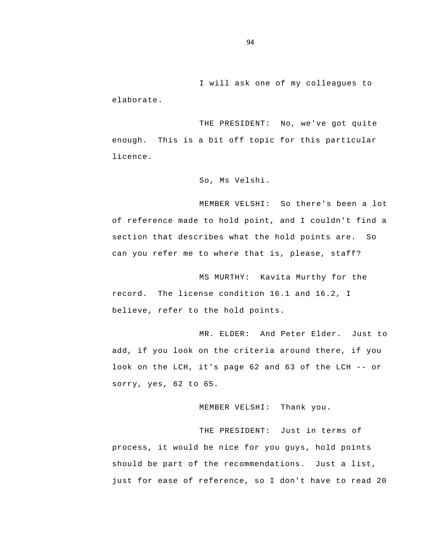I will ask one of my colleagues to elaborate.

THE PRESIDENT: No, we've got quite enough. This is a bit off topic for this particular licence.

So, Ms Velshi.

MEMBER VELSHI: So there's been a lot of reference made to hold point, and I couldn't find a section that describes what the hold points are. So can you refer me to where that is, please, staff?

MS MURTHY: Kavita Murthy for the record. The license condition 16.1 and 16.2, I believe, refer to the hold points.

 look on the LCH, it's page 62 and 63 of the LCH -- or MR. ELDER: And Peter Elder. Just to add, if you look on the criteria around there, if you sorry, yes, 62 to 65.

MEMBER VELSHI: Thank you.

THE PRESIDENT: Just in terms of process, it would be nice for you guys, hold points should be part of the recommendations. Just a list, just for ease of reference, so I don't have to read 20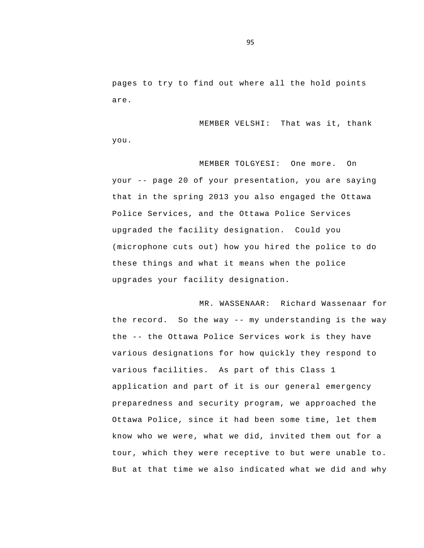pages to try to find out where all the hold points are.

MEMBER VELSHI: That was it, thank you.

 your -- page 20 of your presentation, you are saying MEMBER TOLGYESI: One more. On that in the spring 2013 you also engaged the Ottawa Police Services, and the Ottawa Police Services upgraded the facility designation. Could you (microphone cuts out) how you hired the police to do these things and what it means when the police upgrades your facility designation.

 the record. So the way -- my understanding is the way the -- the Ottawa Police Services work is they have MR. WASSENAAR: Richard Wassenaar for various designations for how quickly they respond to various facilities. As part of this Class 1 application and part of it is our general emergency preparedness and security program, we approached the Ottawa Police, since it had been some time, let them know who we were, what we did, invited them out for a tour, which they were receptive to but were unable to. But at that time we also indicated what we did and why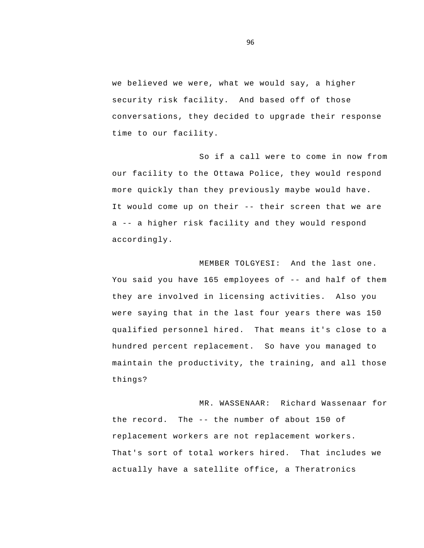we believed we were, what we would say, a higher security risk facility. And based off of those conversations, they decided to upgrade their response time to our facility.

 It would come up on their -- their screen that we are a -- a higher risk facility and they would respond So if a call were to come in now from our facility to the Ottawa Police, they would respond more quickly than they previously maybe would have. accordingly.

 You said you have 165 employees of -- and half of them MEMBER TOLGYESI: And the last one. they are involved in licensing activities. Also you were saying that in the last four years there was 150 qualified personnel hired. That means it's close to a hundred percent replacement. So have you managed to maintain the productivity, the training, and all those things?

 the record. The -- the number of about 150 of MR. WASSENAAR: Richard Wassenaar for replacement workers are not replacement workers.<br>That's sort of total workers hired. That includes we actually have a satellite office, a Theratronics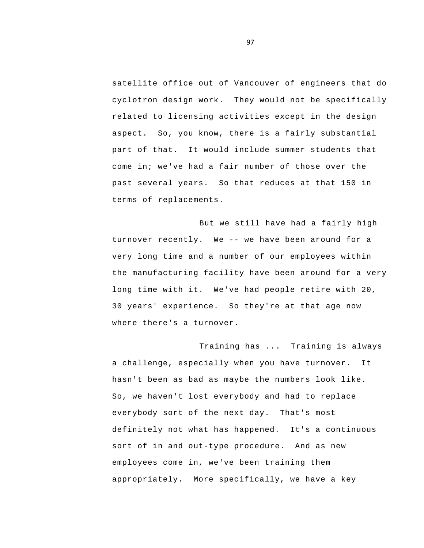satellite office out of Vancouver of engineers that do cyclotron design work. They would not be specifically related to licensing activities except in the design aspect. So, you know, there is a fairly substantial part of that. It would include summer students that come in; we've had a fair number of those over the past several years. So that reduces at that 150 in terms of replacements.

 turnover recently. We -- we have been around for a But we still have had a fairly high very long time and a number of our employees within the manufacturing facility have been around for a very long time with it. We've had people retire with 20, 30 years' experience. So they're at that age now where there's a turnover.

Training has ... Training is always a challenge, especially when you have turnover. It hasn't been as bad as maybe the numbers look like. So, we haven't lost everybody and had to replace everybody sort of the next day. That's most definitely not what has happened. It's a continuous sort of in and out-type procedure. And as new employees come in, we've been training them appropriately. More specifically, we have a key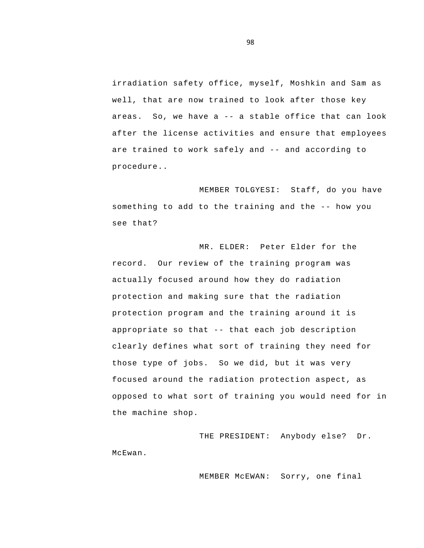areas. So, we have a -- a stable office that can look are trained to work safely and -- and according to irradiation safety office, myself, Moshkin and Sam as well, that are now trained to look after those key after the license activities and ensure that employees procedure..

 something to add to the training and the -- how you MEMBER TOLGYESI: Staff, do you have see that?

 appropriate so that -- that each job description MR. ELDER: Peter Elder for the record. Our review of the training program was actually focused around how they do radiation protection and making sure that the radiation protection program and the training around it is clearly defines what sort of training they need for those type of jobs. So we did, but it was very focused around the radiation protection aspect, as opposed to what sort of training you would need for in the machine shop.

THE PRESIDENT: Anybody else? Dr. McEwan.

MEMBER McEWAN: Sorry, one final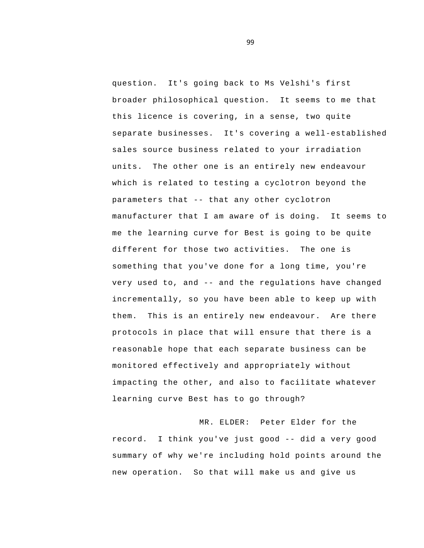parameters that -- that any other cyclotron very used to, and -- and the regulations have changed question. It's going back to Ms Velshi's first broader philosophical question. It seems to me that this licence is covering, in a sense, two quite separate businesses. It's covering a well-established sales source business related to your irradiation units. The other one is an entirely new endeavour which is related to testing a cyclotron beyond the manufacturer that I am aware of is doing. It seems to me the learning curve for Best is going to be quite different for those two activities. The one is something that you've done for a long time, you're incrementally, so you have been able to keep up with them. This is an entirely new endeavour. Are there protocols in place that will ensure that there is a reasonable hope that each separate business can be monitored effectively and appropriately without impacting the other, and also to facilitate whatever learning curve Best has to go through?

 record. I think you've just good -- did a very good MR. ELDER: Peter Elder for the summary of why we're including hold points around the new operation. So that will make us and give us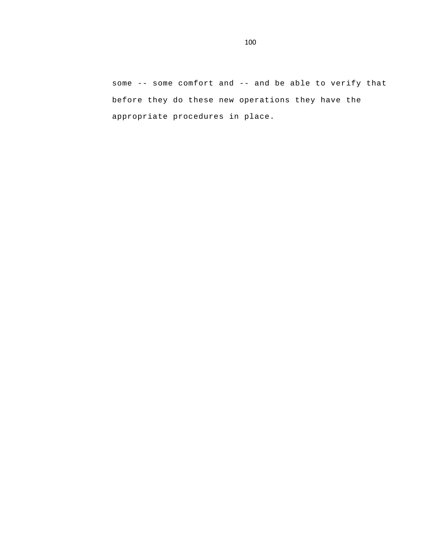some -- some comfort and -- and be able to verify that before they do these new operations they have the appropriate procedures in place.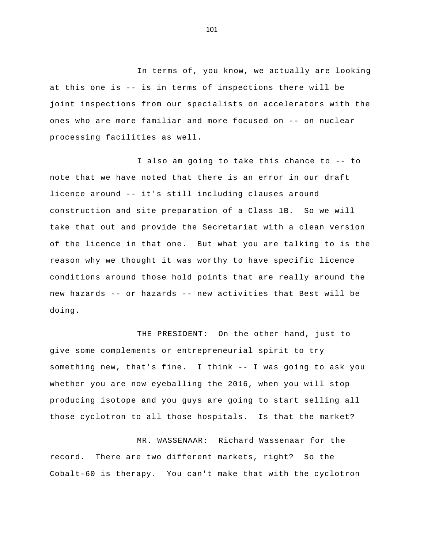at this one is -- is in terms of inspections there will be ones who are more familiar and more focused on -- on nuclear In terms of, you know, we actually are looking joint inspections from our specialists on accelerators with the processing facilities as well.

 I also am going to take this chance to -- to licence around -- it's still including clauses around new hazards -- or hazards -- new activities that Best will be note that we have noted that there is an error in our draft construction and site preparation of a Class 1B. So we will take that out and provide the Secretariat with a clean version of the licence in that one. But what you are talking to is the reason why we thought it was worthy to have specific licence conditions around those hold points that are really around the doing.

 something new, that's fine. I think -- I was going to ask you THE PRESIDENT: On the other hand, just to give some complements or entrepreneurial spirit to try whether you are now eyeballing the 2016, when you will stop producing isotope and you guys are going to start selling all those cyclotron to all those hospitals. Is that the market?

MR. WASSENAAR: Richard Wassenaar for the record. There are two different markets, right? So the Cobalt-60 is therapy. You can't make that with the cyclotron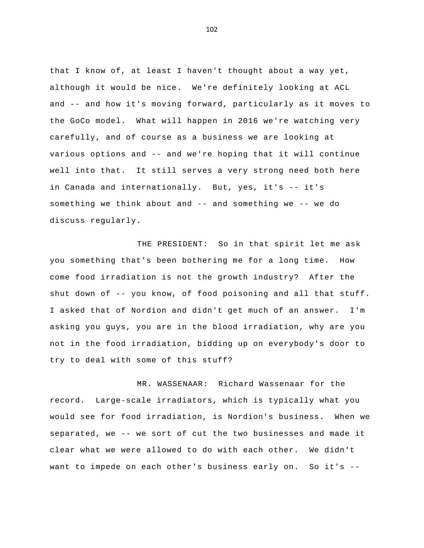and -- and how it's moving forward, particularly as it moves to various options and -- and we're hoping that it will continue in Canada and internationally. But, yes, it's -- it's something we think about and -- and something we -- we do that I know of, at least I haven't thought about a way yet, although it would be nice. We're definitely looking at ACL the GoCo model. What will happen in 2016 we're watching very carefully, and of course as a business we are looking at well into that. It still serves a very strong need both here discuss regularly.

 shut down of -- you know, of food poisoning and all that stuff. THE PRESIDENT: So in that spirit let me ask you something that's been bothering me for a long time. How come food irradiation is not the growth industry? After the I asked that of Nordion and didn't get much of an answer. I'm asking you guys, you are in the blood irradiation, why are you not in the food irradiation, bidding up on everybody's door to try to deal with some of this stuff?

 separated, we -- we sort of cut the two businesses and made it want to impede on each other's business early on. So it's -MR. WASSENAAR: Richard Wassenaar for the record. Large-scale irradiators, which is typically what you would see for food irradiation, is Nordion's business. When we clear what we were allowed to do with each other. We didn't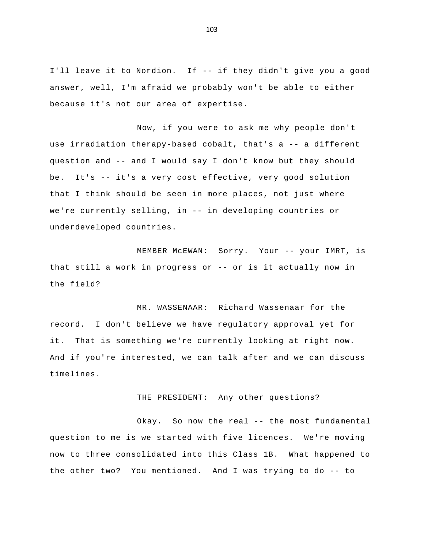I'll leave it to Nordion. If -- if they didn't give you a good answer, well, I'm afraid we probably won't be able to either because it's not our area of expertise.

 use irradiation therapy-based cobalt, that's a -- a different question and -- and I would say I don't know but they should be. It's -- it's a very cost effective, very good solution we're currently selling, in -- in developing countries or Now, if you were to ask me why people don't that I think should be seen in more places, not just where underdeveloped countries.

 MEMBER McEWAN: Sorry. Your -- your IMRT, is that still a work in progress or -- or is it actually now in the field?

MR. WASSENAAR: Richard Wassenaar for the record. I don't believe we have regulatory approval yet for it. That is something we're currently looking at right now. And if you're interested, we can talk after and we can discuss timelines.

THE PRESIDENT: Any other questions?

 Okay. So now the real -- the most fundamental the other two? You mentioned. And I was trying to do -- to question to me is we started with five licences. We're moving now to three consolidated into this Class 1B. What happened to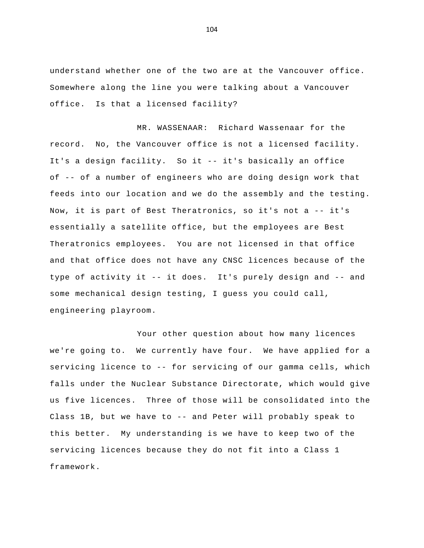understand whether one of the two are at the Vancouver office. Somewhere along the line you were talking about a Vancouver office. Is that a licensed facility?

record. No, the Vancouver office is not a licensed facility.<br>It's a design facility. So it -- it's basically an office of -- of a number of engineers who are doing design work that Now, it is part of Best Theratronics, so it's not a -- it's type of activity it -- it does. It's purely design and -- and MR. WASSENAAR: Richard Wassenaar for the feeds into our location and we do the assembly and the testing. essentially a satellite office, but the employees are Best Theratronics employees. You are not licensed in that office and that office does not have any CNSC licences because of the some mechanical design testing, I guess you could call, engineering playroom.

 servicing licence to -- for servicing of our gamma cells, which Class 1B, but we have to -- and Peter will probably speak to Your other question about how many licences we're going to. We currently have four. We have applied for a falls under the Nuclear Substance Directorate, which would give us five licences. Three of those will be consolidated into the this better. My understanding is we have to keep two of the servicing licences because they do not fit into a Class 1 framework.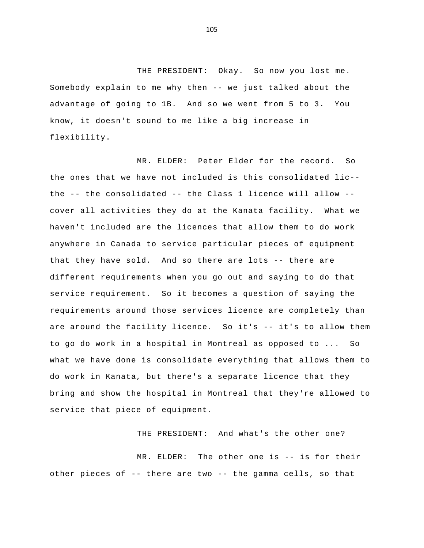Somebody explain to me why then -- we just talked about the THE PRESIDENT: Okay. So now you lost me. advantage of going to 1B. And so we went from 5 to 3. You know, it doesn't sound to me like a big increase in flexibility.

 the -- the consolidated -- the Class 1 licence will allow - that they have sold. And so there are lots -- there are are around the facility licence. So it's -- it's to allow them MR. ELDER: Peter Elder for the record. So the ones that we have not included is this consolidated lic cover all activities they do at the Kanata facility. What we haven't included are the licences that allow them to do work anywhere in Canada to service particular pieces of equipment different requirements when you go out and saying to do that service requirement. So it becomes a question of saying the requirements around those services licence are completely than to go do work in a hospital in Montreal as opposed to ... So what we have done is consolidate everything that allows them to do work in Kanata, but there's a separate licence that they bring and show the hospital in Montreal that they're allowed to service that piece of equipment.

THE PRESIDENT: And what's the other one?

 MR. ELDER: The other one is -- is for their other pieces of -- there are two -- the gamma cells, so that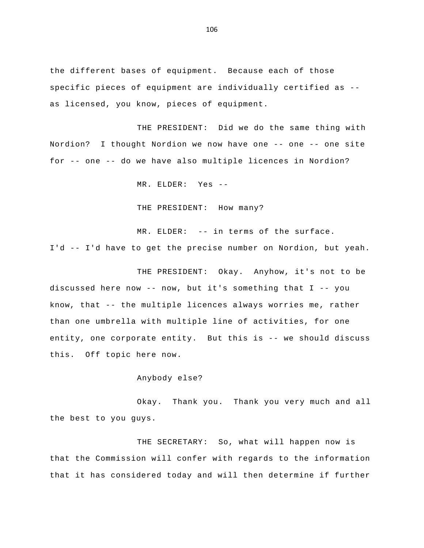specific pieces of equipment are individually certified as the different bases of equipment. Because each of those as licensed, you know, pieces of equipment.

 Nordion? I thought Nordion we now have one -- one -- one site for -- one -- do we have also multiple licences in Nordion? THE PRESIDENT: Did we do the same thing with

MR. ELDER: Yes -

THE PRESIDENT: How many?

 MR. ELDER: -- in terms of the surface. I'd -- I'd have to get the precise number on Nordion, but yeah.

 discussed here now -- now, but it's something that I -- you know, that -- the multiple licences always worries me, rather entity, one corporate entity. But this is -- we should discuss THE PRESIDENT: Okay. Anyhow, it's not to be than one umbrella with multiple line of activities, for one this. Off topic here now.

Anybody else?

Okay. Thank you. Thank you very much and all the best to you guys.

THE SECRETARY: So, what will happen now is that the Commission will confer with regards to the information that it has considered today and will then determine if further